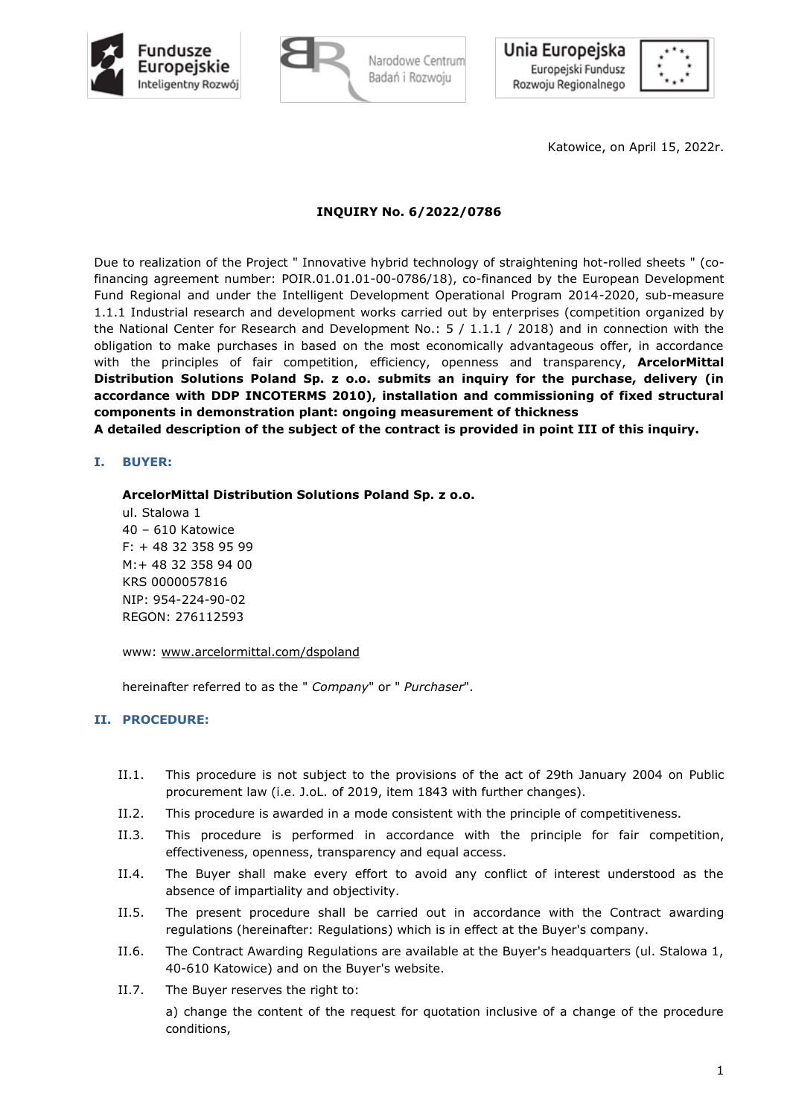

Unia Europejska Europejski Fundusz Rozwoju Regionalnego



Katowice, on April 15, 2022r.

## **INQUIRY No. 6/2022/0786**

Due to realization of the Project " Innovative hybrid technology of straightening hot-rolled sheets " (cofinancing agreement number: POIR.01.01.01-00-0786/18), co-financed by the European Development Fund Regional and under the Intelligent Development Operational Program 2014-2020, sub-measure 1.1.1 Industrial research and development works carried out by enterprises (competition organized by the National Center for Research and Development No.: 5 / 1.1.1 / 2018) and in connection with the obligation to make purchases in based on the most economically advantageous offer, in accordance with the principles of fair competition, efficiency, openness and transparency, **ArcelorMittal Distribution Solutions Poland Sp. z o.o. submits an inquiry for the purchase, delivery (in accordance with DDP INCOTERMS 2010), installation and commissioning of fixed structural components in demonstration plant: ongoing measurement of thickness**

**A detailed description of the subject of the contract is provided in point III of this inquiry.**

## **I. BUYER:**

**ArcelorMittal Distribution Solutions Poland Sp. z o.o.**

ul. Stalowa 1 40 – 610 Katowice F: + 48 32 358 95 99 M:+ 48 32 358 94 00 KRS 0000057816 NIP: 954-224-90-02 REGON: 276112593

www: [www.arcelormittal.com/dspoland](http://arcelormittal.com/dspoland)

hereinafter referred to as the " *Company*" or " *Purchaser*".

## **II. PROCEDURE:**

- II.1. This procedure is not subject to the provisions of the act of 29th January 2004 on Public procurement law (i.e. J.oL. of 2019, item 1843 with further changes).
- II.2. This procedure is awarded in a mode consistent with the principle of competitiveness.
- II.3. This procedure is performed in accordance with the principle for fair competition, effectiveness, openness, transparency and equal access.
- II.4. The Buyer shall make every effort to avoid any conflict of interest understood as the absence of impartiality and objectivity.
- II.5. The present procedure shall be carried out in accordance with the Contract awarding regulations (hereinafter: Regulations) which is in effect at the Buyer's company.
- II.6. The Contract Awarding Regulations are available at the Buyer's headquarters (ul. Stalowa 1, 40-610 Katowice) and on the Buyer's website.
- II.7. The Buyer reserves the right to:

a) change the content of the request for quotation inclusive of a change of the procedure conditions,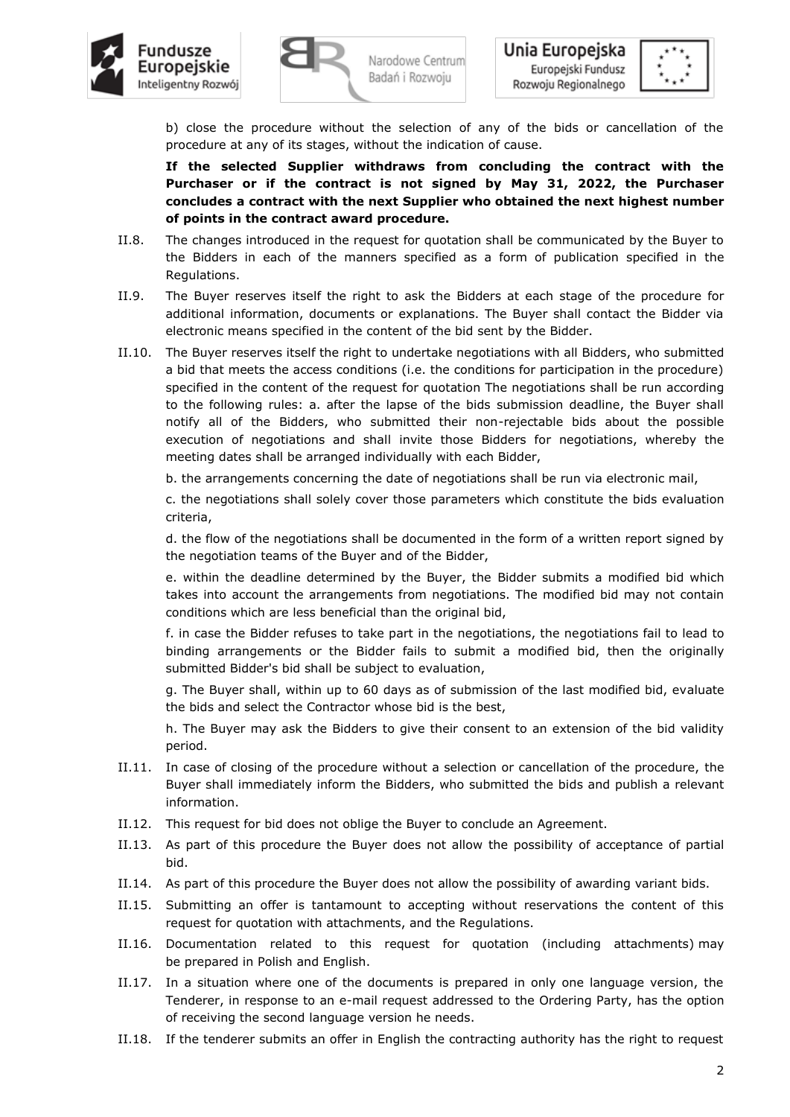



b) close the procedure without the selection of any of the bids or cancellation of the procedure at any of its stages, without the indication of cause.

**If the selected Supplier withdraws from concluding the contract with the Purchaser or if the contract is not signed by May 31, 2022, the Purchaser concludes a contract with the next Supplier who obtained the next highest number of points in the contract award procedure.**

- II.8. The changes introduced in the request for quotation shall be communicated by the Buyer to the Bidders in each of the manners specified as a form of publication specified in the Regulations.
- II.9. The Buyer reserves itself the right to ask the Bidders at each stage of the procedure for additional information, documents or explanations. The Buyer shall contact the Bidder via electronic means specified in the content of the bid sent by the Bidder.
- II.10. The Buyer reserves itself the right to undertake negotiations with all Bidders, who submitted a bid that meets the access conditions (i.e. the conditions for participation in the procedure) specified in the content of the request for quotation The negotiations shall be run according to the following rules: a. after the lapse of the bids submission deadline, the Buyer shall notify all of the Bidders, who submitted their non-rejectable bids about the possible execution of negotiations and shall invite those Bidders for negotiations, whereby the meeting dates shall be arranged individually with each Bidder,

b. the arrangements concerning the date of negotiations shall be run via electronic mail,

c. the negotiations shall solely cover those parameters which constitute the bids evaluation criteria,

d. the flow of the negotiations shall be documented in the form of a written report signed by the negotiation teams of the Buyer and of the Bidder,

e. within the deadline determined by the Buyer, the Bidder submits a modified bid which takes into account the arrangements from negotiations. The modified bid may not contain conditions which are less beneficial than the original bid,

f. in case the Bidder refuses to take part in the negotiations, the negotiations fail to lead to binding arrangements or the Bidder fails to submit a modified bid, then the originally submitted Bidder's bid shall be subject to evaluation,

g. The Buyer shall, within up to 60 days as of submission of the last modified bid, evaluate the bids and select the Contractor whose bid is the best,

h. The Buyer may ask the Bidders to give their consent to an extension of the bid validity period.

- II.11. In case of closing of the procedure without a selection or cancellation of the procedure, the Buyer shall immediately inform the Bidders, who submitted the bids and publish a relevant information.
- II.12. This request for bid does not oblige the Buyer to conclude an Agreement.
- II.13. As part of this procedure the Buyer does not allow the possibility of acceptance of partial bid.
- II.14. As part of this procedure the Buyer does not allow the possibility of awarding variant bids.
- II.15. Submitting an offer is tantamount to accepting without reservations the content of this request for quotation with attachments, and the Regulations.
- II.16. Documentation related to this request for quotation (including attachments) may be prepared in Polish and English.
- II.17. In a situation where one of the documents is prepared in only one language version, the Tenderer, in response to an e-mail request addressed to the Ordering Party, has the option of receiving the second language version he needs.
- II.18. If the tenderer submits an offer in English the contracting authority has the right to request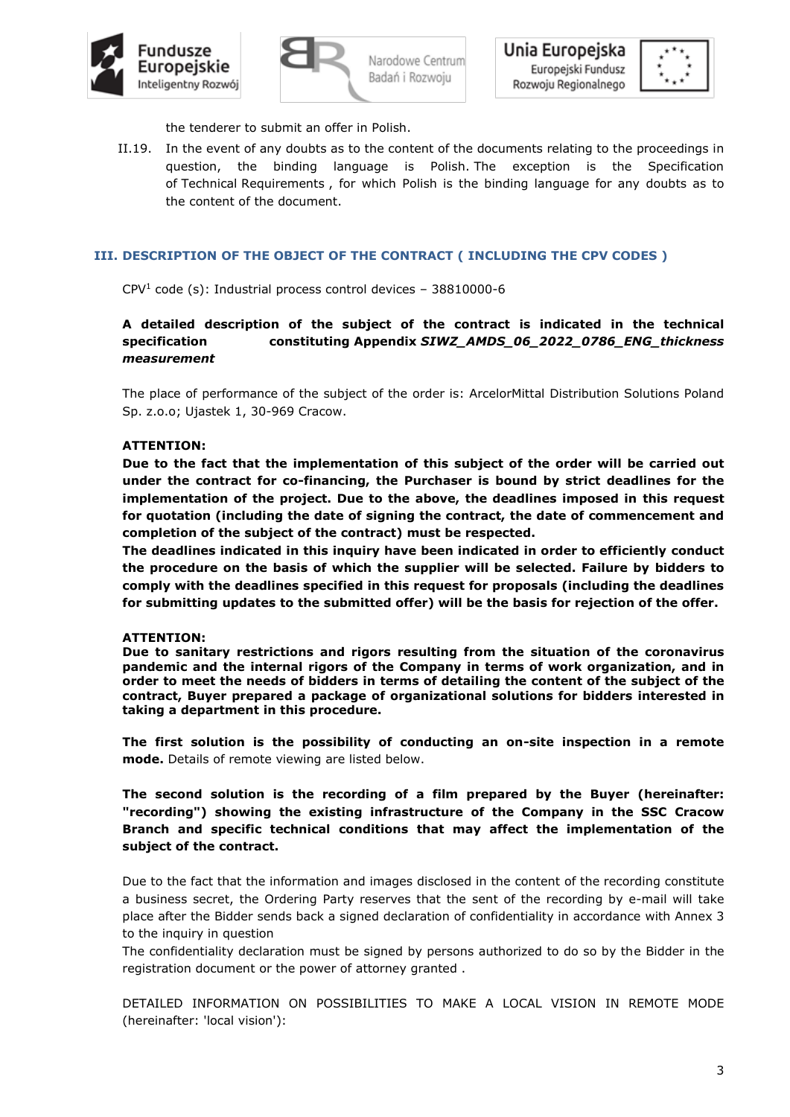



Unia Europejska Narodowe Centrum Europejski Fundusz Badań i Rozwoju Rozwoju Regionalnego



the tenderer to submit an offer in Polish.

II.19. In the event of any doubts as to the content of the documents relating to the proceedings in question, the binding language is Polish. The exception is the Specification of Technical Requirements , for which Polish is the binding language for any doubts as to the content of the document.

## **III. DESCRIPTION OF THE OBJECT OF THE CONTRACT ( INCLUDING THE CPV CODES )**

 $CPV<sup>1</sup>$  code (s): Industrial process control devices - 38810000-6

**A detailed description of the subject of the contract is indicated in the technical specification constituting Appendix** *SIWZ\_AMDS\_06\_2022\_0786\_ENG\_thickness measurement*

The place of performance of the subject of the order is: ArcelorMittal Distribution Solutions Poland Sp. z.o.o; Ujastek 1, 30-969 Cracow.

## **ATTENTION:**

**Due to the fact that the implementation of this subject of the order will be carried out under the contract for co-financing, the Purchaser is bound by strict deadlines for the implementation of the project. Due to the above, the deadlines imposed in this request for quotation (including the date of signing the contract, the date of commencement and completion of the subject of the contract) must be respected.**

**The deadlines indicated in this inquiry have been indicated in order to efficiently conduct the procedure on the basis of which the supplier will be selected. Failure by bidders to comply with the deadlines specified in this request for proposals (including the deadlines for submitting updates to the submitted offer) will be the basis for rejection of the offer.**

#### **ATTENTION:**

**Due to sanitary restrictions and rigors resulting from the situation of the coronavirus pandemic and the internal rigors of the Company in terms of work organization, and in order to meet the needs of bidders in terms of detailing the content of the subject of the contract, Buyer prepared a package of organizational solutions for bidders interested in taking a department in this procedure.**

**The first solution is the possibility of conducting an on-site inspection in a remote mode.** Details of remote viewing are listed below.

**The second solution is the recording of a film prepared by the Buyer (hereinafter: "recording") showing the existing infrastructure of the Company in the SSC Cracow Branch and specific technical conditions that may affect the implementation of the subject of the contract.**

Due to the fact that the information and images disclosed in the content of the recording constitute a business secret, the Ordering Party reserves that the sent of the recording by e-mail will take place after the Bidder sends back a signed declaration of confidentiality in accordance with Annex 3 to the inquiry in question

The confidentiality declaration must be signed by persons authorized to do so by the Bidder in the registration document or the power of attorney granted .

DETAILED INFORMATION ON POSSIBILITIES TO MAKE A LOCAL VISION IN REMOTE MODE (hereinafter: 'local vision'):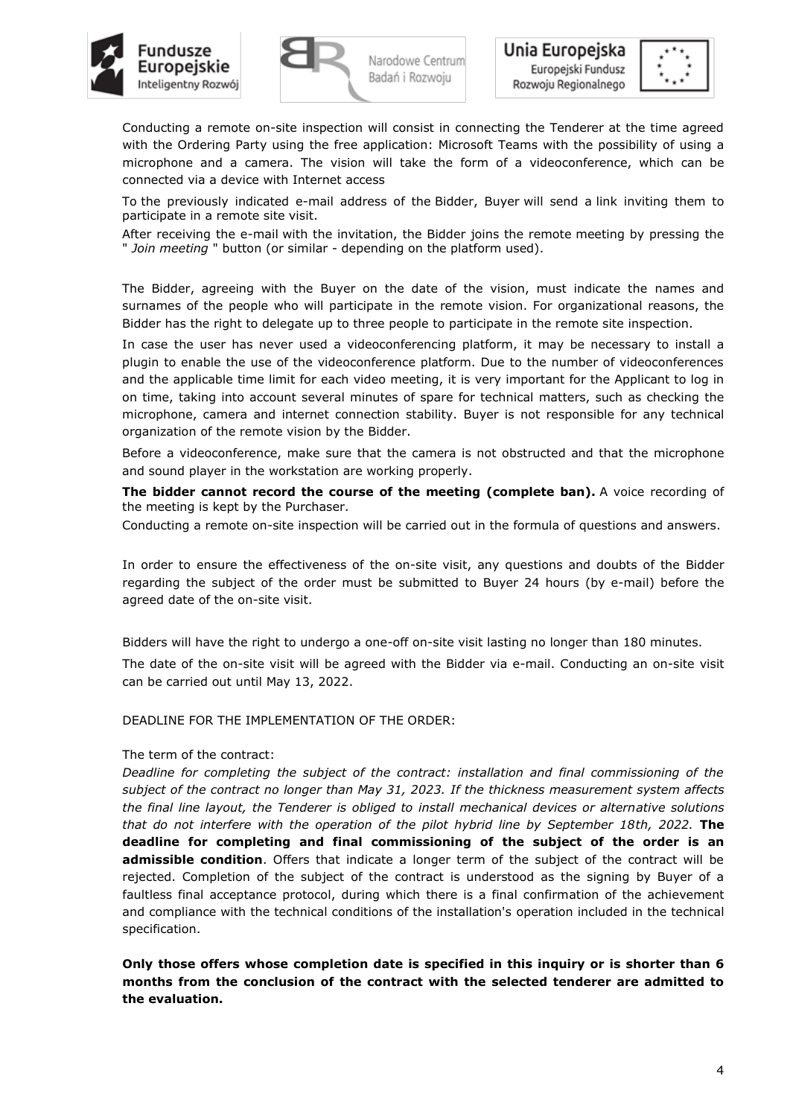





Conducting a remote on-site inspection will consist in connecting the Tenderer at the time agreed with the Ordering Party using the free application: Microsoft Teams with the possibility of using a microphone and a camera. The vision will take the form of a videoconference, which can be connected via a device with Internet access

To the previously indicated e-mail address of the Bidder, Buyer will send a link inviting them to participate in a remote site visit.

After receiving the e-mail with the invitation, the Bidder joins the remote meeting by pressing the " *Join meeting* " button (or similar - depending on the platform used).

The Bidder, agreeing with the Buyer on the date of the vision, must indicate the names and surnames of the people who will participate in the remote vision. For organizational reasons, the Bidder has the right to delegate up to three people to participate in the remote site inspection.

In case the user has never used a videoconferencing platform, it may be necessary to install a plugin to enable the use of the videoconference platform. Due to the number of videoconferences and the applicable time limit for each video meeting, it is very important for the Applicant to log in on time, taking into account several minutes of spare for technical matters, such as checking the microphone, camera and internet connection stability. Buyer is not responsible for any technical organization of the remote vision by the Bidder.

Before a videoconference, make sure that the camera is not obstructed and that the microphone and sound player in the workstation are working properly.

**The bidder cannot record the course of the meeting (complete ban).** A voice recording of the meeting is kept by the Purchaser.

Conducting a remote on-site inspection will be carried out in the formula of questions and answers.

In order to ensure the effectiveness of the on-site visit, any questions and doubts of the Bidder regarding the subject of the order must be submitted to Buyer 24 hours (by e-mail) before the agreed date of the on-site visit.

Bidders will have the right to undergo a one-off on-site visit lasting no longer than 180 minutes. The date of the on-site visit will be agreed with the Bidder via e-mail. Conducting an on-site visit can be carried out until May 13, 2022.

DEADLINE FOR THE IMPLEMENTATION OF THE ORDER:

## The term of the contract:

*Deadline for completing the subject of the contract: installation and final commissioning of the subject of the contract no longer than May 31, 2023. If the thickness measurement system affects the final line layout, the Tenderer is obliged to install mechanical devices or alternative solutions that do not interfere with the operation of the pilot hybrid line by September 18th, 2022.* **The deadline for completing and final commissioning of the subject of the order is an admissible condition**. Offers that indicate a longer term of the subject of the contract will be rejected. Completion of the subject of the contract is understood as the signing by Buyer of a faultless final acceptance protocol, during which there is a final confirmation of the achievement and compliance with the technical conditions of the installation's operation included in the technical specification.

**Only those offers whose completion date is specified in this inquiry or is shorter than 6 months from the conclusion of the contract with the selected tenderer are admitted to the evaluation.**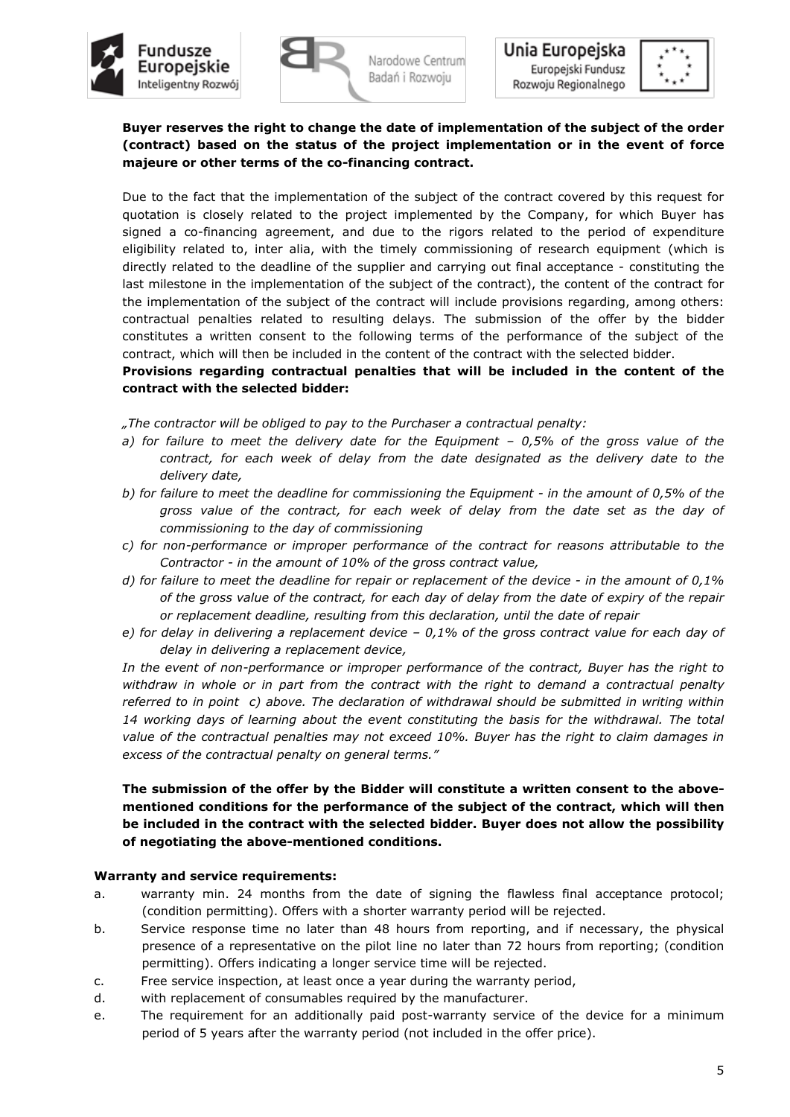



# **Buyer reserves the right to change the date of implementation of the subject of the order (contract) based on the status of the project implementation or in the event of force majeure or other terms of the co-financing contract.**

Due to the fact that the implementation of the subject of the contract covered by this request for quotation is closely related to the project implemented by the Company, for which Buyer has signed a co-financing agreement, and due to the rigors related to the period of expenditure eligibility related to, inter alia, with the timely commissioning of research equipment (which is directly related to the deadline of the supplier and carrying out final acceptance - constituting the last milestone in the implementation of the subject of the contract), the content of the contract for the implementation of the subject of the contract will include provisions regarding, among others: contractual penalties related to resulting delays. The submission of the offer by the bidder constitutes a written consent to the following terms of the performance of the subject of the contract, which will then be included in the content of the contract with the selected bidder.

# **Provisions regarding contractual penalties that will be included in the content of the contract with the selected bidder:**

*"The contractor will be obliged to pay to the Purchaser a contractual penalty:*

- *a) for failure to meet the delivery date for the Equipment – 0,5% of the gross value of the contract, for each week of delay from the date designated as the delivery date to the delivery date,*
- *b) for failure to meet the deadline for commissioning the Equipment - in the amount of 0,5% of the gross value of the contract, for each week of delay from the date set as the day of commissioning to the day of commissioning*
- *c) for non-performance or improper performance of the contract for reasons attributable to the Contractor - in the amount of 10% of the gross contract value,*
- *d) for failure to meet the deadline for repair or replacement of the device - in the amount of 0,1% of the gross value of the contract, for each day of delay from the date of expiry of the repair or replacement deadline, resulting from this declaration, until the date of repair*
- *e) for delay in delivering a replacement device – 0,1% of the gross contract value for each day of delay in delivering a replacement device,*

*In the event of non-performance or improper performance of the contract, Buyer has the right to withdraw in whole or in part from the contract with the right to demand a contractual penalty referred to in point c) above. The declaration of withdrawal should be submitted in writing within 14 working days of learning about the event constituting the basis for the withdrawal. The total value of the contractual penalties may not exceed 10%. Buyer has the right to claim damages in excess of the contractual penalty on general terms."*

# **The submission of the offer by the Bidder will constitute a written consent to the abovementioned conditions for the performance of the subject of the contract, which will then be included in the contract with the selected bidder. Buyer does not allow the possibility of negotiating the above-mentioned conditions.**

## **Warranty and service requirements:**

- a. warranty min. 24 months from the date of signing the flawless final acceptance protocol; (condition permitting). Offers with a shorter warranty period will be rejected.
- b. Service response time no later than 48 hours from reporting, and if necessary, the physical presence of a representative on the pilot line no later than 72 hours from reporting; (condition permitting). Offers indicating a longer service time will be rejected.
- c. Free service inspection, at least once a year during the warranty period,
- d. with replacement of consumables required by the manufacturer.
- e. The requirement for an additionally paid post-warranty service of the device for a minimum period of 5 years after the warranty period (not included in the offer price).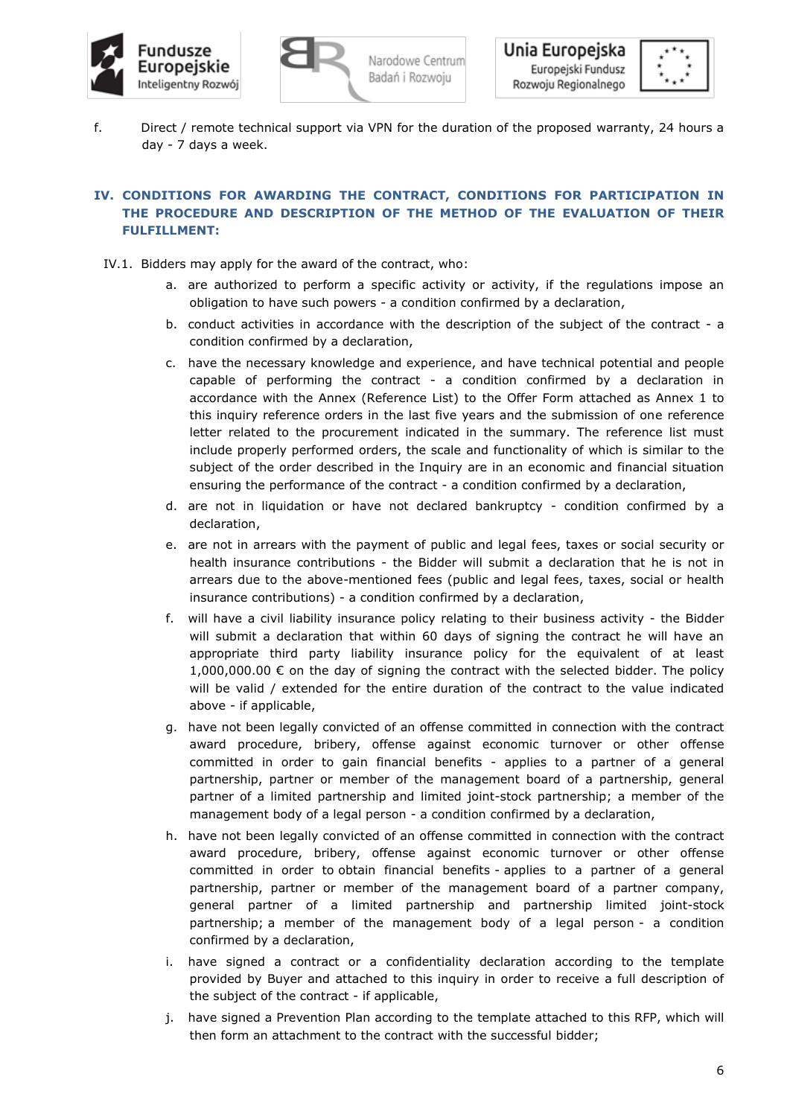





f. Direct / remote technical support via VPN for the duration of the proposed warranty, 24 hours a day - 7 days a week.

# **IV. CONDITIONS FOR AWARDING THE CONTRACT, CONDITIONS FOR PARTICIPATION IN THE PROCEDURE AND DESCRIPTION OF THE METHOD OF THE EVALUATION OF THEIR FULFILLMENT:**

- IV.1. Bidders may apply for the award of the contract, who:
	- a. are authorized to perform a specific activity or activity, if the regulations impose an obligation to have such powers - a condition confirmed by a declaration,
	- b. conduct activities in accordance with the description of the subject of the contract a condition confirmed by a declaration,
	- c. have the necessary knowledge and experience, and have technical potential and people capable of performing the contract - a condition confirmed by a declaration in accordance with the Annex (Reference List) to the Offer Form attached as Annex 1 to this inquiry reference orders in the last five years and the submission of one reference letter related to the procurement indicated in the summary. The reference list must include properly performed orders, the scale and functionality of which is similar to the subject of the order described in the Inquiry are in an economic and financial situation ensuring the performance of the contract - a condition confirmed by a declaration,
	- d. are not in liquidation or have not declared bankruptcy condition confirmed by a declaration,
	- e. are not in arrears with the payment of public and legal fees, taxes or social security or health insurance contributions - the Bidder will submit a declaration that he is not in arrears due to the above-mentioned fees (public and legal fees, taxes, social or health insurance contributions) - a condition confirmed by a declaration,
	- f. will have a civil liability insurance policy relating to their business activity the Bidder will submit a declaration that within 60 days of signing the contract he will have an appropriate third party liability insurance policy for the equivalent of at least 1,000,000.00 € on the day of signing the contract with the selected bidder. The policy will be valid / extended for the entire duration of the contract to the value indicated above - if applicable,
	- g. have not been legally convicted of an offense committed in connection with the contract award procedure, bribery, offense against economic turnover or other offense committed in order to gain financial benefits - applies to a partner of a general partnership, partner or member of the management board of a partnership, general partner of a limited partnership and limited joint-stock partnership; a member of the management body of a legal person - a condition confirmed by a declaration,
	- h. have not been legally convicted of an offense committed in connection with the contract award procedure, bribery, offense against economic turnover or other offense committed in order to obtain financial benefits - applies to a partner of a general partnership, partner or member of the management board of a partner company, general partner of a limited partnership and partnership limited joint-stock partnership; a member of the management body of a legal person - a condition confirmed by a declaration,
	- i. have signed a contract or a confidentiality declaration according to the template provided by Buyer and attached to this inquiry in order to receive a full description of the subject of the contract - if applicable,
	- j. have signed a Prevention Plan according to the template attached to this RFP, which will then form an attachment to the contract with the successful bidder;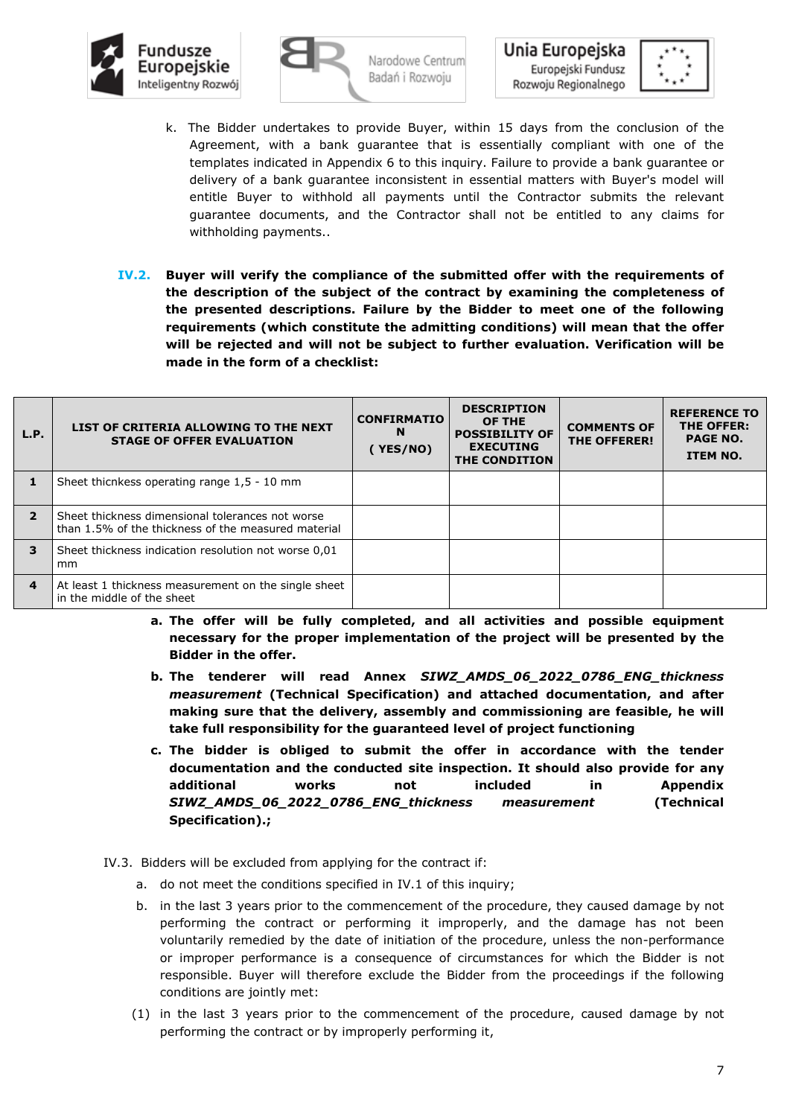



Unia Europejska Europejski Fundusz Rozwoju Regionalnego



- k. The Bidder undertakes to provide Buyer, within 15 days from the conclusion of the Agreement, with a bank guarantee that is essentially compliant with one of the templates indicated in Appendix 6 to this inquiry. Failure to provide a bank guarantee or delivery of a bank guarantee inconsistent in essential matters with Buyer's model will entitle Buyer to withhold all payments until the Contractor submits the relevant guarantee documents, and the Contractor shall not be entitled to any claims for withholding payments..
- **IV.2. Buyer will verify the compliance of the submitted offer with the requirements of the description of the subject of the contract by examining the completeness of the presented descriptions. Failure by the Bidder to meet one of the following requirements (which constitute the admitting conditions) will mean that the offer will be rejected and will not be subject to further evaluation. Verification will be made in the form of a checklist:**

| L.P.                     | LIST OF CRITERIA ALLOWING TO THE NEXT<br><b>STAGE OF OFFER EVALUATION</b>                               | <b>CONFIRMATIO</b><br>N<br>YES/NO) | <b>DESCRIPTION</b><br>OF THE<br><b>POSSIBILITY OF</b><br><b>EXECUTING</b><br>THE CONDITION | <b>COMMENTS OF</b><br><b>THE OFFERER!</b> | <b>REFERENCE TO</b><br>THE OFFER:<br><b>PAGE NO.</b><br><b>ITEM NO.</b> |
|--------------------------|---------------------------------------------------------------------------------------------------------|------------------------------------|--------------------------------------------------------------------------------------------|-------------------------------------------|-------------------------------------------------------------------------|
|                          | Sheet thicnkess operating range 1,5 - 10 mm                                                             |                                    |                                                                                            |                                           |                                                                         |
| $\overline{\phantom{a}}$ | Sheet thickness dimensional tolerances not worse<br>than 1.5% of the thickness of the measured material |                                    |                                                                                            |                                           |                                                                         |
| 3                        | Sheet thickness indication resolution not worse 0,01<br>mm                                              |                                    |                                                                                            |                                           |                                                                         |
| $\overline{\mathbf{4}}$  | At least 1 thickness measurement on the single sheet<br>in the middle of the sheet                      |                                    |                                                                                            |                                           |                                                                         |

- **a. The offer will be fully completed, and all activities and possible equipment necessary for the proper implementation of the project will be presented by the Bidder in the offer.**
- **b. The tenderer will read Annex** *SIWZ\_AMDS\_06\_2022\_0786\_ENG\_thickness measurement* **(Technical Specification) and attached documentation, and after making sure that the delivery, assembly and commissioning are feasible, he will take full responsibility for the guaranteed level of project functioning**
- **c. The bidder is obliged to submit the offer in accordance with the tender documentation and the conducted site inspection. It should also provide for any additional works not included in Appendix**  *SIWZ\_AMDS\_06\_2022\_0786\_ENG\_thickness measurement* **(Technical Specification).;**
- IV.3. Bidders will be excluded from applying for the contract if:
	- a. do not meet the conditions specified in IV.1 of this inquiry;
	- b. in the last 3 years prior to the commencement of the procedure, they caused damage by not performing the contract or performing it improperly, and the damage has not been voluntarily remedied by the date of initiation of the procedure, unless the non-performance or improper performance is a consequence of circumstances for which the Bidder is not responsible. Buyer will therefore exclude the Bidder from the proceedings if the following conditions are jointly met:
	- (1) in the last 3 years prior to the commencement of the procedure, caused damage by not performing the contract or by improperly performing it,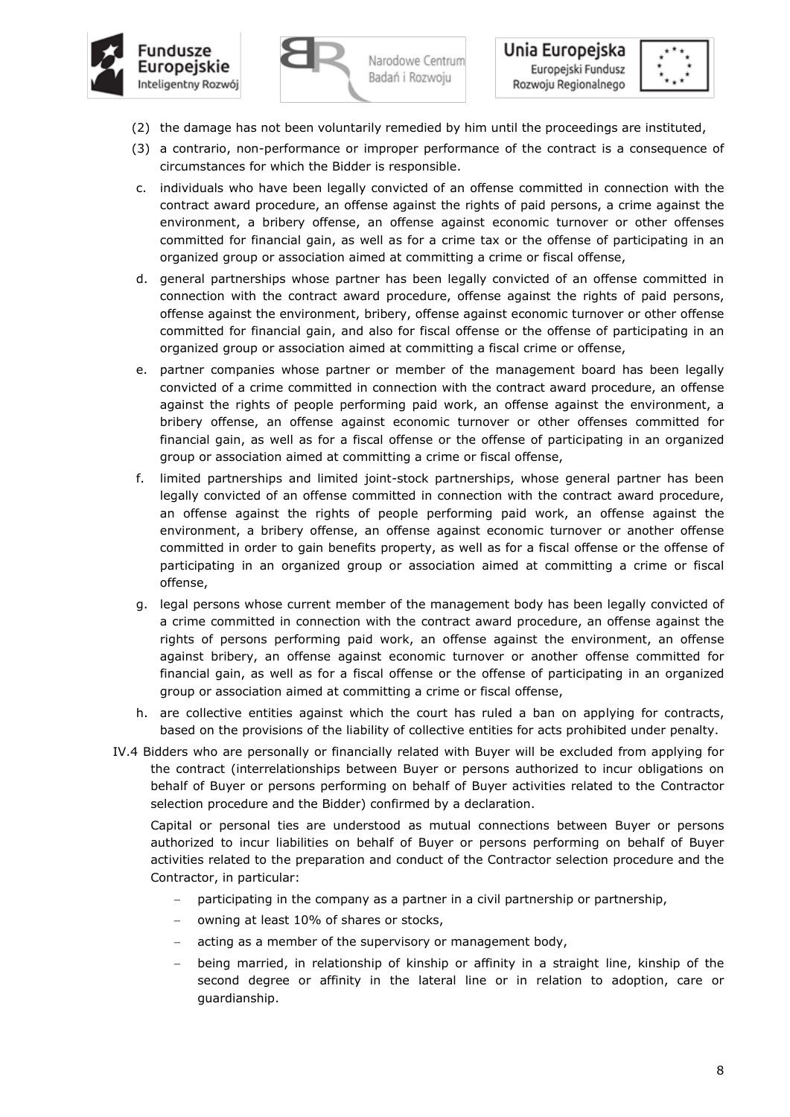



Unia Europejska Europejski Fundusz Rozwoju Regionalnego



- (2) the damage has not been voluntarily remedied by him until the proceedings are instituted,
- (3) a contrario, non-performance or improper performance of the contract is a consequence of circumstances for which the Bidder is responsible.
- c. individuals who have been legally convicted of an offense committed in connection with the contract award procedure, an offense against the rights of paid persons, a crime against the environment, a bribery offense, an offense against economic turnover or other offenses committed for financial gain, as well as for a crime tax or the offense of participating in an organized group or association aimed at committing a crime or fiscal offense,
- d. general partnerships whose partner has been legally convicted of an offense committed in connection with the contract award procedure, offense against the rights of paid persons, offense against the environment, bribery, offense against economic turnover or other offense committed for financial gain, and also for fiscal offense or the offense of participating in an organized group or association aimed at committing a fiscal crime or offense,
- e. partner companies whose partner or member of the management board has been legally convicted of a crime committed in connection with the contract award procedure, an offense against the rights of people performing paid work, an offense against the environment, a bribery offense, an offense against economic turnover or other offenses committed for financial gain, as well as for a fiscal offense or the offense of participating in an organized group or association aimed at committing a crime or fiscal offense,
- f. limited partnerships and limited joint-stock partnerships, whose general partner has been legally convicted of an offense committed in connection with the contract award procedure, an offense against the rights of people performing paid work, an offense against the environment, a bribery offense, an offense against economic turnover or another offense committed in order to gain benefits property, as well as for a fiscal offense or the offense of participating in an organized group or association aimed at committing a crime or fiscal offense,
- g. legal persons whose current member of the management body has been legally convicted of a crime committed in connection with the contract award procedure, an offense against the rights of persons performing paid work, an offense against the environment, an offense against bribery, an offense against economic turnover or another offense committed for financial gain, as well as for a fiscal offense or the offense of participating in an organized group or association aimed at committing a crime or fiscal offense,
- h. are collective entities against which the court has ruled a ban on applying for contracts, based on the provisions of the liability of collective entities for acts prohibited under penalty.
- IV.4 Bidders who are personally or financially related with Buyer will be excluded from applying for the contract (interrelationships between Buyer or persons authorized to incur obligations on behalf of Buyer or persons performing on behalf of Buyer activities related to the Contractor selection procedure and the Bidder) confirmed by a declaration.

Capital or personal ties are understood as mutual connections between Buyer or persons authorized to incur liabilities on behalf of Buyer or persons performing on behalf of Buyer activities related to the preparation and conduct of the Contractor selection procedure and the Contractor, in particular:

- participating in the company as a partner in a civil partnership or partnership,
- owning at least 10% of shares or stocks,
- acting as a member of the supervisory or management body,
- being married, in relationship of kinship or affinity in a straight line, kinship of the second degree or affinity in the lateral line or in relation to adoption, care or guardianship.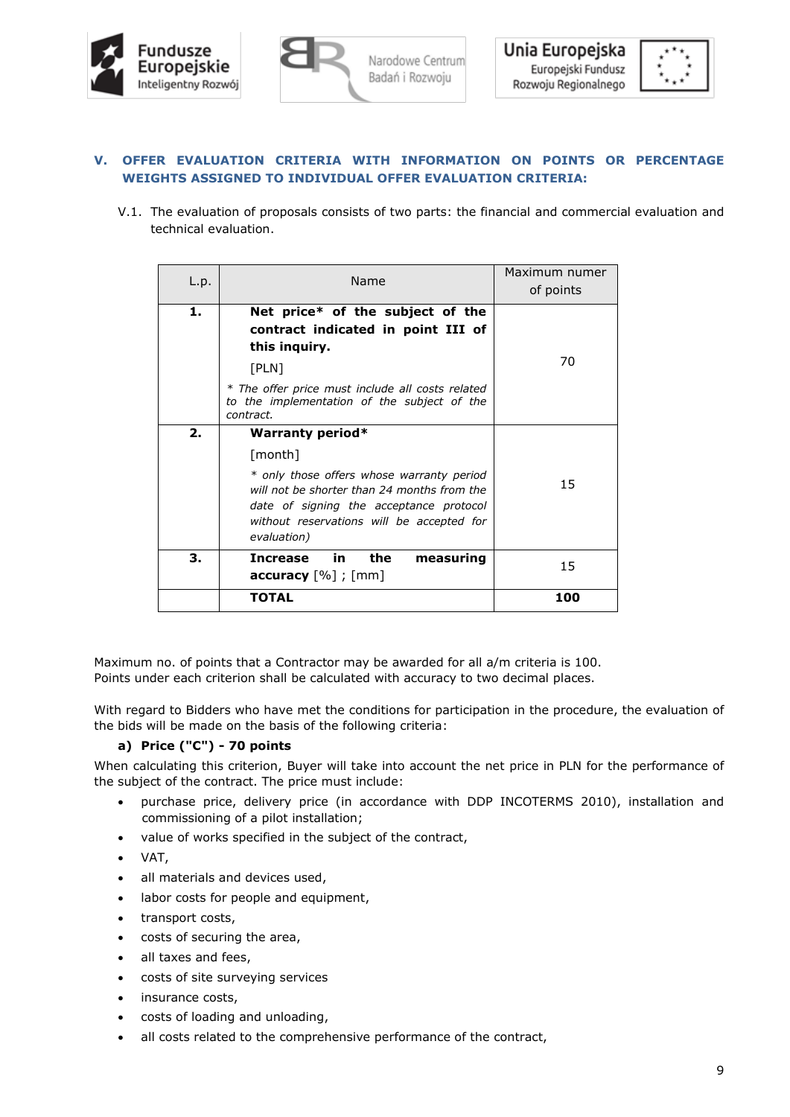



# **V. OFFER EVALUATION CRITERIA WITH INFORMATION ON POINTS OR PERCENTAGE WEIGHTS ASSIGNED TO INDIVIDUAL OFFER EVALUATION CRITERIA:**

V.1. The evaluation of proposals consists of two parts: the financial and commercial evaluation and technical evaluation.

| L.p. | Name                                                                                                                                                                                                                                  | Maximum numer<br>of points |
|------|---------------------------------------------------------------------------------------------------------------------------------------------------------------------------------------------------------------------------------------|----------------------------|
| 1.   | Net price* of the subject of the<br>contract indicated in point III of<br>this inquiry.<br>[PLN]<br>* The offer price must include all costs related<br>to the implementation of the subject of the<br>contract.                      | 70                         |
| 2.   | <b>Warranty period*</b><br>[month]<br>* only those offers whose warranty period<br>will not be shorter than 24 months from the<br>date of signing the acceptance protocol<br>without reservations will be accepted for<br>evaluation) | 15                         |
| З.   | in.<br>the<br><b>Increase</b><br>measuring<br><b>accuracy</b> $[\%]$ ; $[mm]$                                                                                                                                                         | 15                         |
|      | TOTAL                                                                                                                                                                                                                                 | 100                        |

Maximum no. of points that a Contractor may be awarded for all a/m criteria is 100. Points under each criterion shall be calculated with accuracy to two decimal places.

With regard to Bidders who have met the conditions for participation in the procedure, the evaluation of the bids will be made on the basis of the following criteria:

# **a) Price ("C") - 70 points**

When calculating this criterion, Buyer will take into account the net price in PLN for the performance of the subject of the contract. The price must include:

- purchase price, delivery price (in accordance with DDP INCOTERMS 2010), installation and commissioning of a pilot installation;
- value of works specified in the subject of the contract,
- VAT,
- all materials and devices used,
- labor costs for people and equipment,
- transport costs,
- costs of securing the area,
- all taxes and fees,
- costs of site surveying services
- insurance costs,
- costs of loading and unloading,
- all costs related to the comprehensive performance of the contract,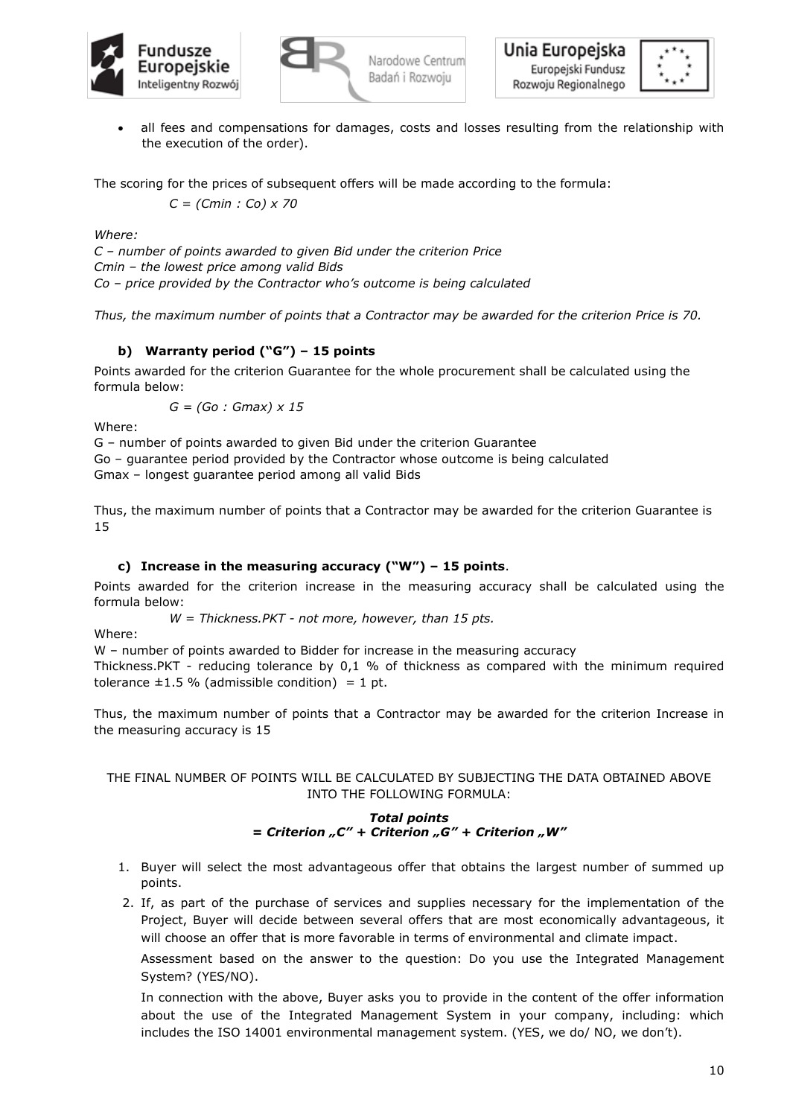



• all fees and compensations for damages, costs and losses resulting from the relationship with the execution of the order).

The scoring for the prices of subsequent offers will be made according to the formula:

*C = (Cmin : Co) x 70*

*Where:*

*C – number of points awarded to given Bid under the criterion Price Cmin – the lowest price among valid Bids Co – price provided by the Contractor who's outcome is being calculated*

*Thus, the maximum number of points that a Contractor may be awarded for the criterion Price is 70.*

# **b) Warranty period ("G") – 15 points**

Points awarded for the criterion Guarantee for the whole procurement shall be calculated using the formula below:

*G = (Go : Gmax) x 15*

Where:

G – number of points awarded to given Bid under the criterion Guarantee Go – guarantee period provided by the Contractor whose outcome is being calculated Gmax – longest guarantee period among all valid Bids

Thus, the maximum number of points that a Contractor may be awarded for the criterion Guarantee is 15

## **c) Increase in the measuring accuracy ("W") – 15 points**.

Points awarded for the criterion increase in the measuring accuracy shall be calculated using the formula below:

*W = Thickness.PKT - not more, however, than 15 pts.*

Where:

W – number of points awarded to Bidder for increase in the measuring accuracy

Thickness.PKT - reducing tolerance by 0,1 % of thickness as compared with the minimum required tolerance  $\pm 1.5$  % (admissible condition) = 1 pt.

Thus, the maximum number of points that a Contractor may be awarded for the criterion Increase in the measuring accuracy is 15

## THE FINAL NUMBER OF POINTS WILL BE CALCULATED BY SUBJECTING THE DATA OBTAINED ABOVE INTO THE FOLLOWING FORMULA:

## *Total points = Criterion "C" + Criterion "G" + Criterion "W"*

- 1. Buyer will select the most advantageous offer that obtains the largest number of summed up points.
- 2. If, as part of the purchase of services and supplies necessary for the implementation of the Project, Buyer will decide between several offers that are most economically advantageous, it will choose an offer that is more favorable in terms of environmental and climate impact.

Assessment based on the answer to the question: Do you use the Integrated Management System? (YES/NO).

In connection with the above, Buyer asks you to provide in the content of the offer information about the use of the Integrated Management System in your company, including: which includes the ISO 14001 environmental management system. (YES, we do/ NO, we don't).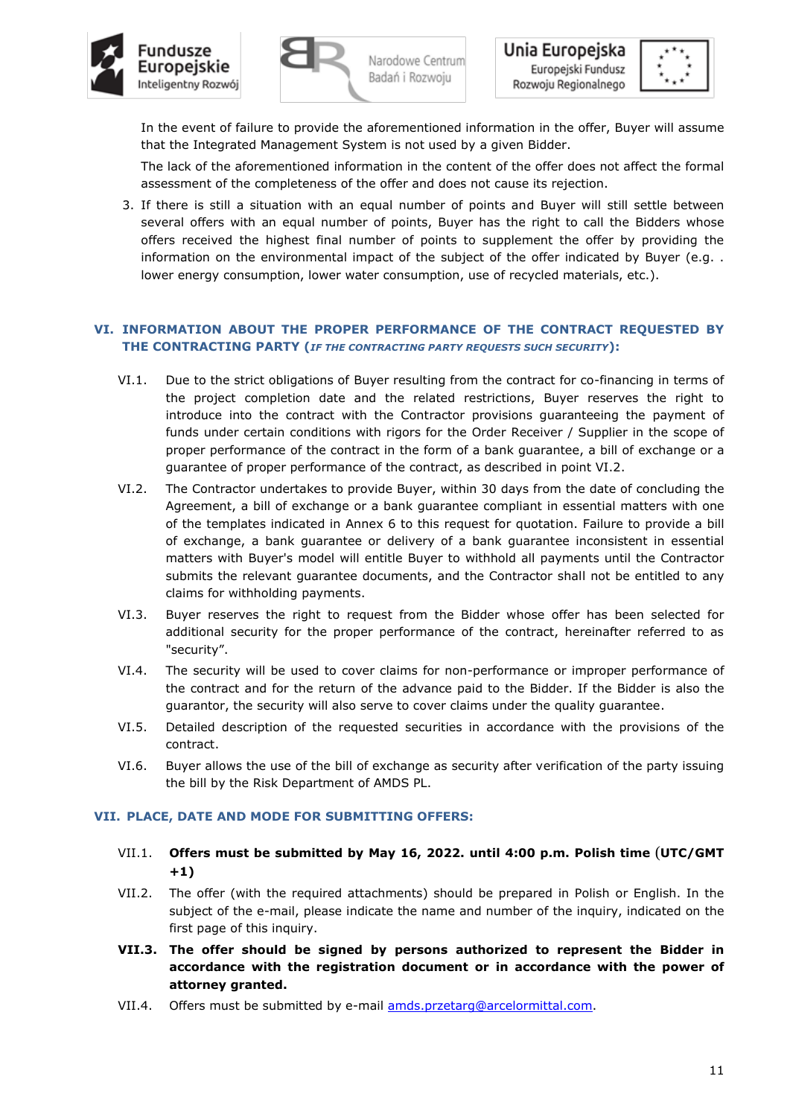





In the event of failure to provide the aforementioned information in the offer, Buyer will assume that the Integrated Management System is not used by a given Bidder.

The lack of the aforementioned information in the content of the offer does not affect the formal assessment of the completeness of the offer and does not cause its rejection.

3. If there is still a situation with an equal number of points and Buyer will still settle between several offers with an equal number of points, Buyer has the right to call the Bidders whose offers received the highest final number of points to supplement the offer by providing the information on the environmental impact of the subject of the offer indicated by Buyer (e.g. . lower energy consumption, lower water consumption, use of recycled materials, etc.).

## **VI. INFORMATION ABOUT THE PROPER PERFORMANCE OF THE CONTRACT REQUESTED BY THE CONTRACTING PARTY (***IF THE CONTRACTING PARTY REQUESTS SUCH SECURITY***):**

- VI.1. Due to the strict obligations of Buyer resulting from the contract for co-financing in terms of the project completion date and the related restrictions, Buyer reserves the right to introduce into the contract with the Contractor provisions guaranteeing the payment of funds under certain conditions with rigors for the Order Receiver / Supplier in the scope of proper performance of the contract in the form of a bank guarantee, a bill of exchange or a guarantee of proper performance of the contract, as described in point VI.2.
- VI.2. The Contractor undertakes to provide Buyer, within 30 days from the date of concluding the Agreement, a bill of exchange or a bank guarantee compliant in essential matters with one of the templates indicated in Annex 6 to this request for quotation. Failure to provide a bill of exchange, a bank guarantee or delivery of a bank guarantee inconsistent in essential matters with Buyer's model will entitle Buyer to withhold all payments until the Contractor submits the relevant guarantee documents, and the Contractor shall not be entitled to any claims for withholding payments.
- VI.3. Buyer reserves the right to request from the Bidder whose offer has been selected for additional security for the proper performance of the contract, hereinafter referred to as "security".
- VI.4. The security will be used to cover claims for non-performance or improper performance of the contract and for the return of the advance paid to the Bidder. If the Bidder is also the guarantor, the security will also serve to cover claims under the quality guarantee.
- VI.5. Detailed description of the requested securities in accordance with the provisions of the contract.
- VI.6. Buyer allows the use of the bill of exchange as security after verification of the party issuing the bill by the Risk Department of AMDS PL.

#### **VII. PLACE, DATE AND MODE FOR SUBMITTING OFFERS:**

- VII.1. **Offers must be submitted by May 16, 2022. until 4:00 p.m. Polish time** (**UTC/GMT +1)**
- VII.2. The offer (with the required attachments) should be prepared in Polish or English. In the subject of the e-mail, please indicate the name and number of the inquiry, indicated on the first page of this inquiry.
- **VII.3. The offer should be signed by persons authorized to represent the Bidder in accordance with the registration document or in accordance with the power of attorney granted.**
- VII.4. Offers must be submitted by e-mail [amds.przetarg@arcelormittal.com.](mailto:amds.przetarg@arcelormittal.com)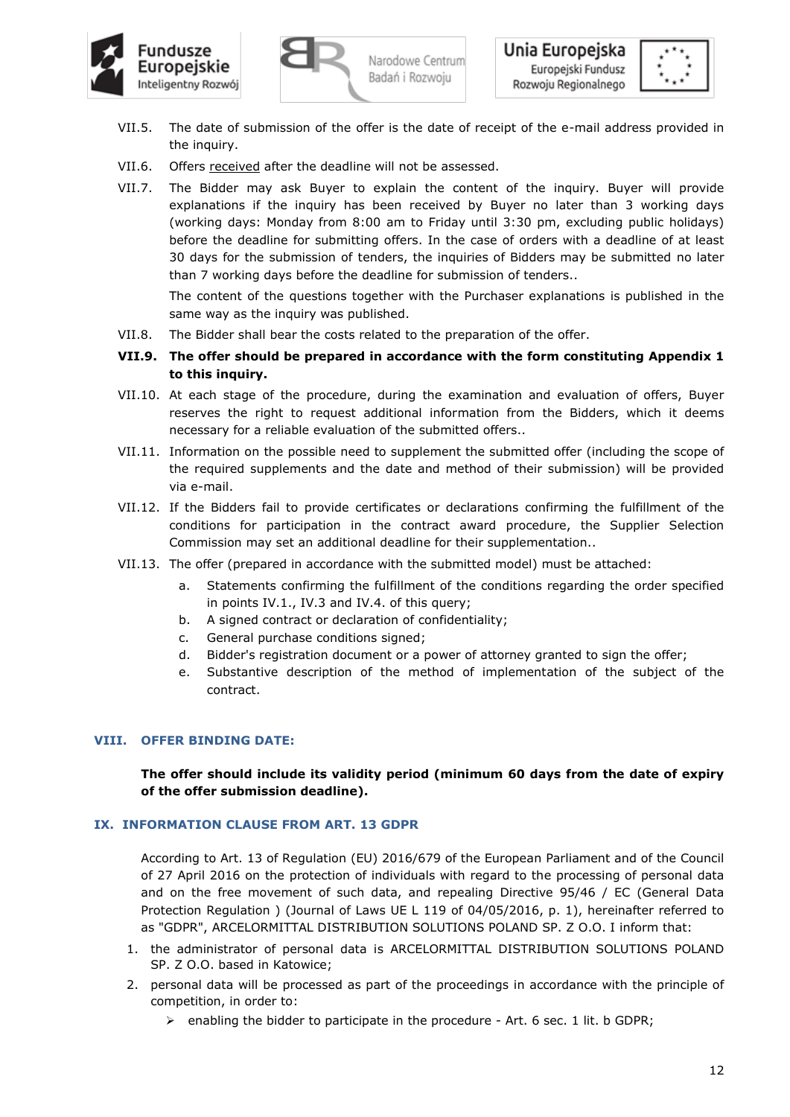



- VII.5. The date of submission of the offer is the date of receipt of the e-mail address provided in the inquiry.
- VII.6. Offers received after the deadline will not be assessed.
- VII.7. The Bidder may ask Buyer to explain the content of the inquiry. Buyer will provide explanations if the inquiry has been received by Buyer no later than 3 working days (working days: Monday from 8:00 am to Friday until 3:30 pm, excluding public holidays) before the deadline for submitting offers. In the case of orders with a deadline of at least 30 days for the submission of tenders, the inquiries of Bidders may be submitted no later than 7 working days before the deadline for submission of tenders..

The content of the questions together with the Purchaser explanations is published in the same way as the inquiry was published.

- VII.8. The Bidder shall bear the costs related to the preparation of the offer.
- **VII.9. The offer should be prepared in accordance with the form constituting Appendix 1 to this inquiry.**
- VII.10. At each stage of the procedure, during the examination and evaluation of offers, Buyer reserves the right to request additional information from the Bidders, which it deems necessary for a reliable evaluation of the submitted offers..
- VII.11. Information on the possible need to supplement the submitted offer (including the scope of the required supplements and the date and method of their submission) will be provided via e-mail.
- VII.12. If the Bidders fail to provide certificates or declarations confirming the fulfillment of the conditions for participation in the contract award procedure, the Supplier Selection Commission may set an additional deadline for their supplementation..
- VII.13. The offer (prepared in accordance with the submitted model) must be attached:
	- a. Statements confirming the fulfillment of the conditions regarding the order specified in points IV.1., IV.3 and IV.4. of this query;
	- b. A signed contract or declaration of confidentiality;
	- c. General purchase conditions signed;
	- d. Bidder's registration document or a power of attorney granted to sign the offer;
	- e. Substantive description of the method of implementation of the subject of the contract.

#### **VIII. OFFER BINDING DATE:**

## **The offer should include its validity period (minimum 60 days from the date of expiry of the offer submission deadline).**

#### **IX. INFORMATION CLAUSE FROM ART. 13 GDPR**

According to Art. 13 of Regulation (EU) 2016/679 of the European Parliament and of the Council of 27 April 2016 on the protection of individuals with regard to the processing of personal data and on the free movement of such data, and repealing Directive 95/46 / EC (General Data Protection Regulation ) (Journal of Laws UE L 119 of 04/05/2016, p. 1), hereinafter referred to as "GDPR", ARCELORMITTAL DISTRIBUTION SOLUTIONS POLAND SP. Z O.O. I inform that:

- 1. the administrator of personal data is ARCELORMITTAL DISTRIBUTION SOLUTIONS POLAND SP. Z O.O. based in Katowice;
- 2. personal data will be processed as part of the proceedings in accordance with the principle of competition, in order to:
	- ➢ enabling the bidder to participate in the procedure Art. 6 sec. 1 lit. b GDPR;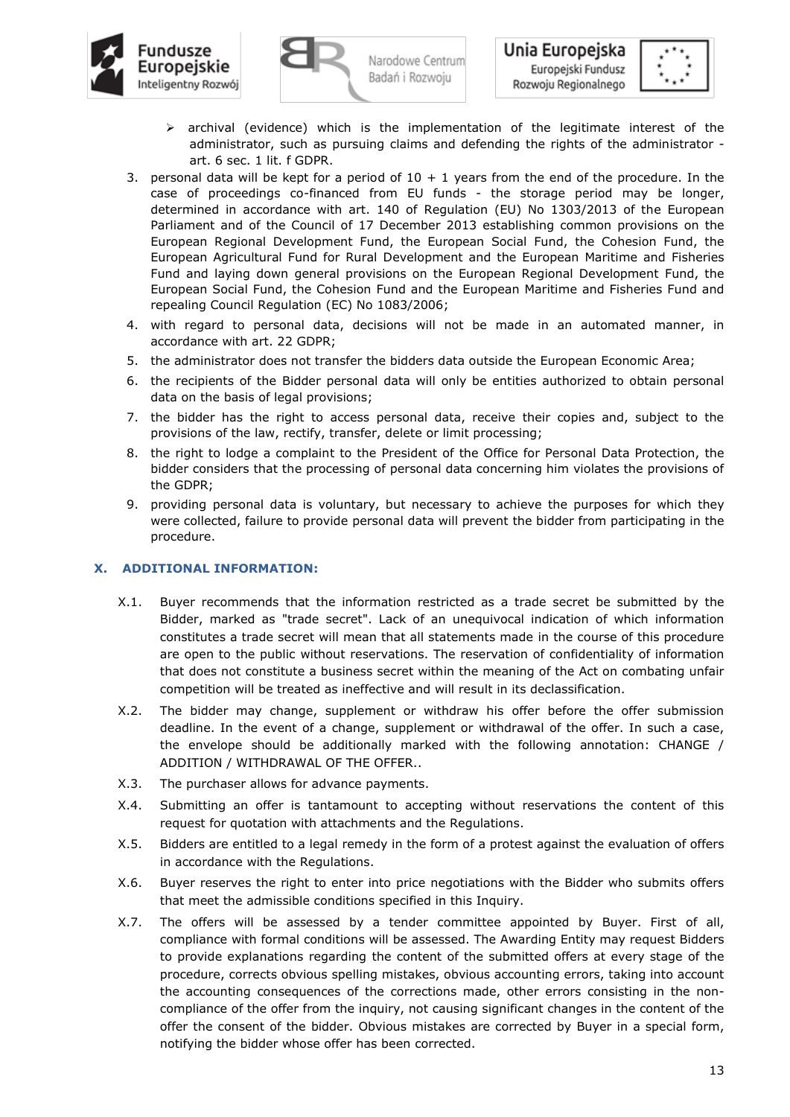



- $\triangleright$  archival (evidence) which is the implementation of the legitimate interest of the administrator, such as pursuing claims and defending the rights of the administrator art. 6 sec. 1 lit. f GDPR.
- 3. personal data will be kept for a period of  $10 + 1$  years from the end of the procedure. In the case of proceedings co-financed from EU funds - the storage period may be longer, determined in accordance with art. 140 of Regulation (EU) No 1303/2013 of the European Parliament and of the Council of 17 December 2013 establishing common provisions on the European Regional Development Fund, the European Social Fund, the Cohesion Fund, the European Agricultural Fund for Rural Development and the European Maritime and Fisheries Fund and laying down general provisions on the European Regional Development Fund, the European Social Fund, the Cohesion Fund and the European Maritime and Fisheries Fund and repealing Council Regulation (EC) No 1083/2006;
- 4. with regard to personal data, decisions will not be made in an automated manner, in accordance with art. 22 GDPR;
- 5. the administrator does not transfer the bidders data outside the European Economic Area;
- 6. the recipients of the Bidder personal data will only be entities authorized to obtain personal data on the basis of legal provisions;
- 7. the bidder has the right to access personal data, receive their copies and, subject to the provisions of the law, rectify, transfer, delete or limit processing;
- 8. the right to lodge a complaint to the President of the Office for Personal Data Protection, the bidder considers that the processing of personal data concerning him violates the provisions of the GDPR;
- 9. providing personal data is voluntary, but necessary to achieve the purposes for which they were collected, failure to provide personal data will prevent the bidder from participating in the procedure.

#### **X. ADDITIONAL INFORMATION:**

- X.1. Buyer recommends that the information restricted as a trade secret be submitted by the Bidder, marked as "trade secret". Lack of an unequivocal indication of which information constitutes a trade secret will mean that all statements made in the course of this procedure are open to the public without reservations. The reservation of confidentiality of information that does not constitute a business secret within the meaning of the Act on combating unfair competition will be treated as ineffective and will result in its declassification.
- X.2. The bidder may change, supplement or withdraw his offer before the offer submission deadline. In the event of a change, supplement or withdrawal of the offer. In such a case, the envelope should be additionally marked with the following annotation: CHANGE / ADDITION / WITHDRAWAL OF THE OFFER..
- X.3. The purchaser allows for advance payments.
- X.4. Submitting an offer is tantamount to accepting without reservations the content of this request for quotation with attachments and the Regulations.
- X.5. Bidders are entitled to a legal remedy in the form of a protest against the evaluation of offers in accordance with the Regulations.
- X.6. Buyer reserves the right to enter into price negotiations with the Bidder who submits offers that meet the admissible conditions specified in this Inquiry.
- X.7. The offers will be assessed by a tender committee appointed by Buyer. First of all, compliance with formal conditions will be assessed. The Awarding Entity may request Bidders to provide explanations regarding the content of the submitted offers at every stage of the procedure, corrects obvious spelling mistakes, obvious accounting errors, taking into account the accounting consequences of the corrections made, other errors consisting in the noncompliance of the offer from the inquiry, not causing significant changes in the content of the offer the consent of the bidder. Obvious mistakes are corrected by Buyer in a special form, notifying the bidder whose offer has been corrected.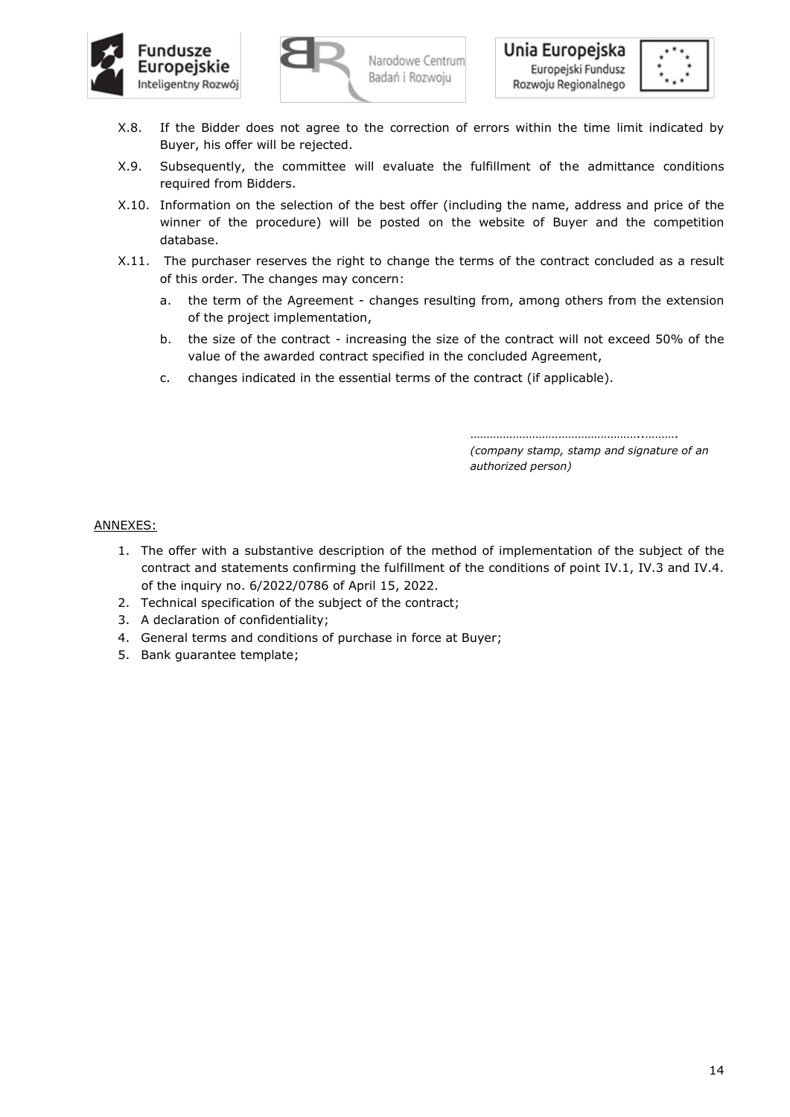





- X.8. If the Bidder does not agree to the correction of errors within the time limit indicated by Buyer, his offer will be rejected.
- X.9. Subsequently, the committee will evaluate the fulfillment of the admittance conditions required from Bidders.
- X.10. Information on the selection of the best offer (including the name, address and price of the winner of the procedure) will be posted on the website of Buyer and the competition database.
- X.11. The purchaser reserves the right to change the terms of the contract concluded as a result of this order. The changes may concern:
	- a. the term of the Agreement changes resulting from, among others from the extension of the project implementation,
	- b. the size of the contract increasing the size of the contract will not exceed 50% of the value of the awarded contract specified in the concluded Agreement,
	- c. changes indicated in the essential terms of the contract (if applicable).

………………………………………………………………… *(company stamp, stamp and signature of an authorized person)*

## ANNEXES:

- 1. The offer with a substantive description of the method of implementation of the subject of the contract and statements confirming the fulfillment of the conditions of point IV.1, IV.3 and IV.4. of the inquiry no. 6/2022/0786 of April 15, 2022.
- 2. Technical specification of the subject of the contract;
- 3. A declaration of confidentiality;
- 4. General terms and conditions of purchase in force at Buyer;
- 5. Bank guarantee template;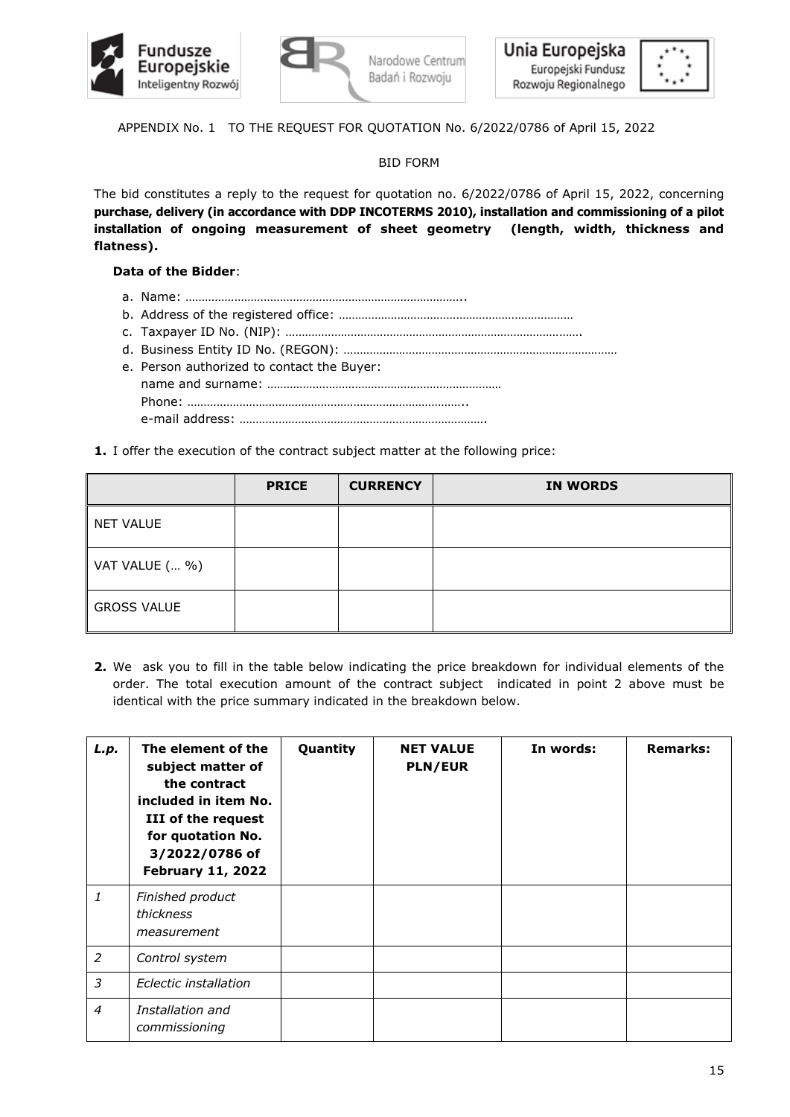





APPENDIX No. 1 TO THE REQUEST FOR QUOTATION No. 6/2022/0786 of April 15, 2022

BID FORM

The bid constitutes a reply to the request for quotation no. 6/2022/0786 of April 15, 2022, concerning **purchase, delivery (in accordance with DDP INCOTERMS 2010), installation and commissioning of a pilot installation of ongoing measurement of sheet geometry (length, width, thickness and flatness).**

# **Data of the Bidder**:

- a. Name: …………………………………………………………………………..
- b. Address of the registered office: ………………………………………………………………
- c. Taxpayer ID No. (NIP): ……………………………………………………………………………….
- d. Business Entity ID No. (REGON): …………………………………………………………………………
- e. Person authorized to contact the Buyer: name and surname: ……………………………………………………………… Phone: ………………………………………………………………………….. e-mail address: ………………………………………………………………….
- **1.** I offer the execution of the contract subject matter at the following price:

|                    | <b>PRICE</b> | <b>CURRENCY</b> | <b>IN WORDS</b> |
|--------------------|--------------|-----------------|-----------------|
| <b>NET VALUE</b>   |              |                 |                 |
| VAT VALUE ( %)     |              |                 |                 |
| <b>GROSS VALUE</b> |              |                 |                 |

**2.** We ask you to fill in the table below indicating the price breakdown for individual elements of the order. The total execution amount of the contract subject indicated in point 2 above must be identical with the price summary indicated in the breakdown below.

| L.p.           | The element of the<br>subject matter of<br>the contract<br>included in item No.<br>III of the request<br>for quotation No.<br>3/2022/0786 of<br><b>February 11, 2022</b> | Quantity | <b>NET VALUE</b><br><b>PLN/EUR</b> | In words: | <b>Remarks:</b> |
|----------------|--------------------------------------------------------------------------------------------------------------------------------------------------------------------------|----------|------------------------------------|-----------|-----------------|
| 1              | Finished product<br>thickness<br>measurement                                                                                                                             |          |                                    |           |                 |
| 2              | Control system                                                                                                                                                           |          |                                    |           |                 |
| 3              | Eclectic installation                                                                                                                                                    |          |                                    |           |                 |
| $\overline{4}$ | Installation and<br>commissioning                                                                                                                                        |          |                                    |           |                 |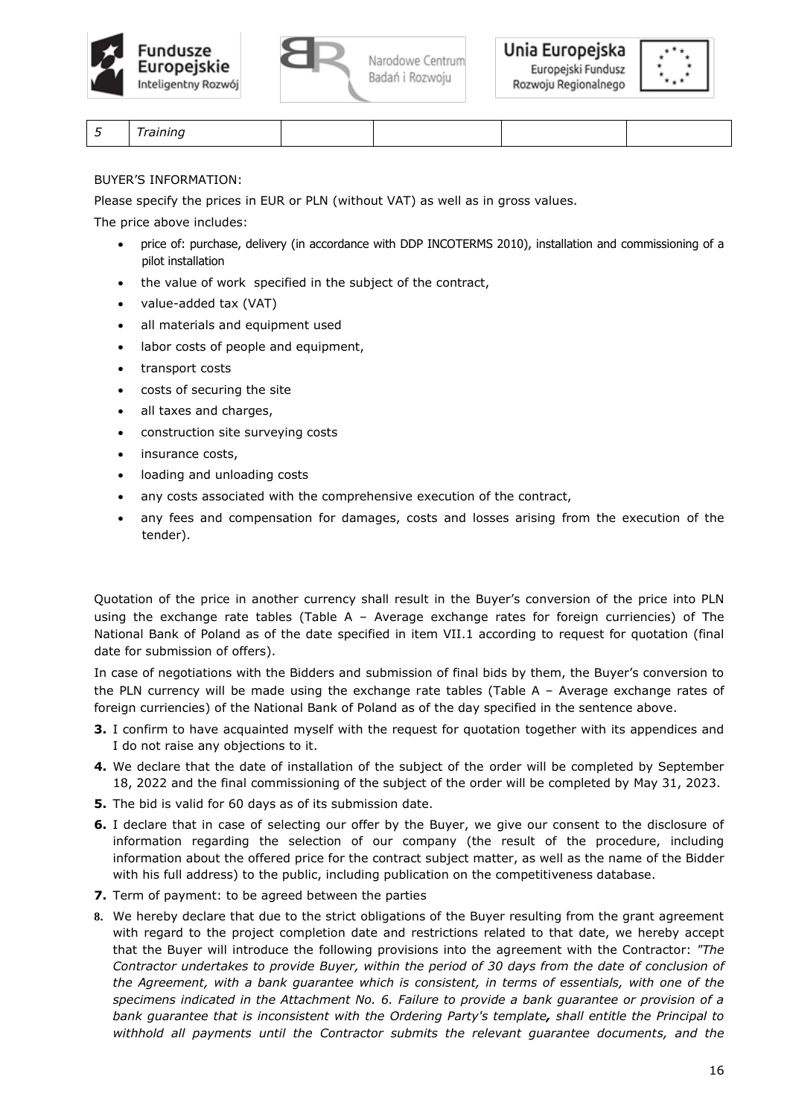







|--|

BUYER'S INFORMATION:

Please specify the prices in EUR or PLN (without VAT) as well as in gross values.

The price above includes:

- price of: purchase, delivery (in accordance with DDP INCOTERMS 2010), installation and commissioning of a pilot installation
- the value of work specified in the subject of the contract,
- value-added tax (VAT)
- all materials and equipment used
- labor costs of people and equipment,
- transport costs
- costs of securing the site
- all taxes and charges,
- construction site surveying costs
- insurance costs,
- loading and unloading costs
- any costs associated with the comprehensive execution of the contract,
- any fees and compensation for damages, costs and losses arising from the execution of the tender).

Quotation of the price in another currency shall result in the Buyer's conversion of the price into PLN using the exchange rate tables (Table A – Average exchange rates for foreign curriencies) of The National Bank of Poland as of the date specified in item VII.1 according to request for quotation (final date for submission of offers).

In case of negotiations with the Bidders and submission of final bids by them, the Buyer's conversion to the PLN currency will be made using the exchange rate tables (Table A – Average exchange rates of foreign curriencies) of the National Bank of Poland as of the day specified in the sentence above.

- **3.** I confirm to have acquainted myself with the request for quotation together with its appendices and I do not raise any objections to it.
- **4.** We declare that the date of installation of the subject of the order will be completed by September 18, 2022 and the final commissioning of the subject of the order will be completed by May 31, 2023.
- **5.** The bid is valid for 60 days as of its submission date.
- **6.** I declare that in case of selecting our offer by the Buyer, we give our consent to the disclosure of information regarding the selection of our company (the result of the procedure, including information about the offered price for the contract subject matter, as well as the name of the Bidder with his full address) to the public, including publication on the competitiveness database.
- **7.** Term of payment: to be agreed between the parties
- **8.** We hereby declare that due to the strict obligations of the Buyer resulting from the grant agreement with regard to the project completion date and restrictions related to that date, we hereby accept that the Buyer will introduce the following provisions into the agreement with the Contractor: *"The Contractor undertakes to provide Buyer, within the period of 30 days from the date of conclusion of the Agreement, with a bank guarantee which is consistent, in terms of essentials, with one of the specimens indicated in the Attachment No. 6. Failure to provide a bank guarantee or provision of a bank guarantee that is inconsistent with the Ordering Party's template, shall entitle the Principal to withhold all payments until the Contractor submits the relevant guarantee documents, and the*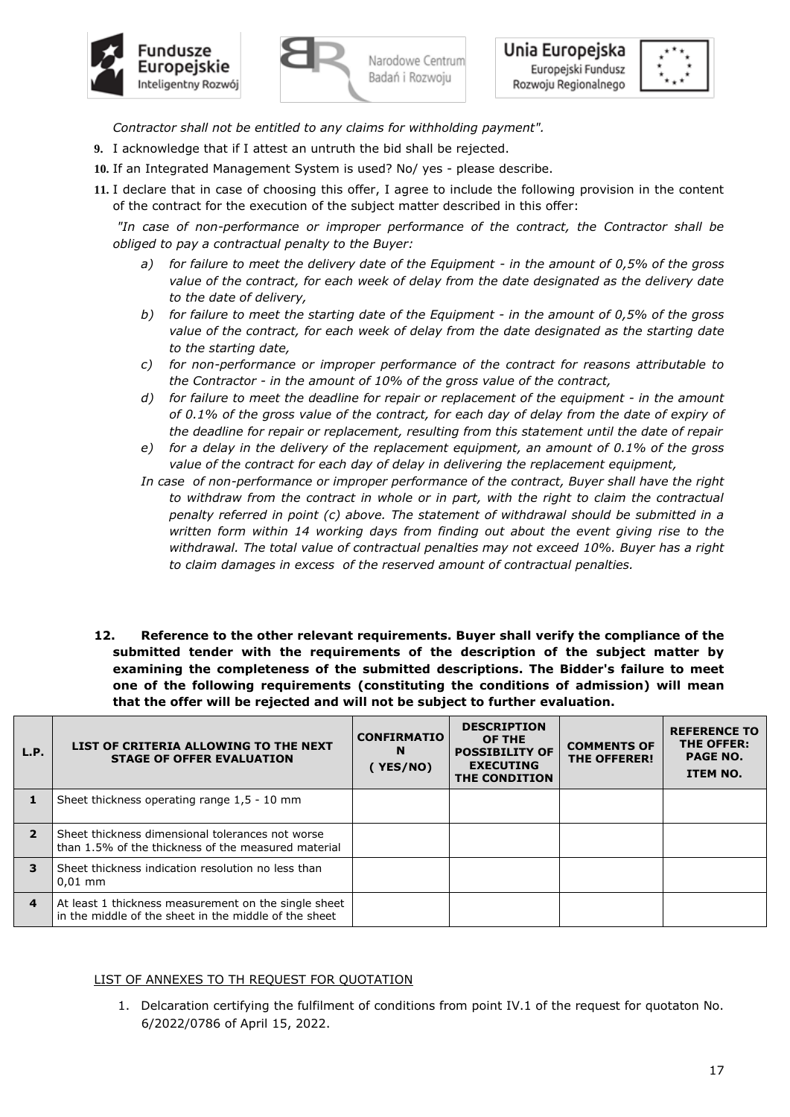





*Contractor shall not be entitled to any claims for withholding payment".*

- **9.** I acknowledge that if I attest an untruth the bid shall be rejected.
- **10.** If an Integrated Management System is used? No/ yes please describe.
- **11.** I declare that in case of choosing this offer, I agree to include the following provision in the content of the contract for the execution of the subject matter described in this offer:

*"In case of non-performance or improper performance of the contract, the Contractor shall be obliged to pay a contractual penalty to the Buyer:*

- *a) for failure to meet the delivery date of the Equipment - in the amount of 0,5% of the gross value of the contract, for each week of delay from the date designated as the delivery date to the date of delivery,*
- *b) for failure to meet the starting date of the Equipment - in the amount of 0,5% of the gross value of the contract, for each week of delay from the date designated as the starting date to the starting date,*
- *c) for non-performance or improper performance of the contract for reasons attributable to the Contractor - in the amount of 10% of the gross value of the contract,*
- *d) for failure to meet the deadline for repair or replacement of the equipment - in the amount of 0.1% of the gross value of the contract, for each day of delay from the date of expiry of the deadline for repair or replacement, resulting from this statement until the date of repair*
- *e) for a delay in the delivery of the replacement equipment, an amount of 0.1% of the gross value of the contract for each day of delay in delivering the replacement equipment,*
- *In case of non-performance or improper performance of the contract, Buyer shall have the right to withdraw from the contract in whole or in part, with the right to claim the contractual penalty referred in point (c) above. The statement of withdrawal should be submitted in a written form within 14 working days from finding out about the event giving rise to the withdrawal. The total value of contractual penalties may not exceed 10%. Buyer has a right to claim damages in excess of the reserved amount of contractual penalties.*
- **12. Reference to the other relevant requirements. Buyer shall verify the compliance of the submitted tender with the requirements of the description of the subject matter by examining the completeness of the submitted descriptions. The Bidder's failure to meet one of the following requirements (constituting the conditions of admission) will mean that the offer will be rejected and will not be subject to further evaluation.**

| L.P.                    | LIST OF CRITERIA ALLOWING TO THE NEXT<br><b>STAGE OF OFFER EVALUATION</b>                                     | <b>CONFIRMATIO</b><br>N<br>YES/NO) | <b>DESCRIPTION</b><br>OF THE<br><b>POSSIBILITY OF</b><br><b>EXECUTING</b><br>THE CONDITION | <b>COMMENTS OF</b><br><b>THE OFFERER!</b> | <b>REFERENCE TO</b><br>THE OFFER:<br><b>PAGE NO.</b><br><b>ITEM NO.</b> |
|-------------------------|---------------------------------------------------------------------------------------------------------------|------------------------------------|--------------------------------------------------------------------------------------------|-------------------------------------------|-------------------------------------------------------------------------|
|                         | Sheet thickness operating range 1,5 - 10 mm                                                                   |                                    |                                                                                            |                                           |                                                                         |
| $\mathbf{z}$            | Sheet thickness dimensional tolerances not worse<br>than 1.5% of the thickness of the measured material       |                                    |                                                                                            |                                           |                                                                         |
| 3                       | Sheet thickness indication resolution no less than<br>$0.01$ mm                                               |                                    |                                                                                            |                                           |                                                                         |
| $\overline{\mathbf{4}}$ | At least 1 thickness measurement on the single sheet<br>in the middle of the sheet in the middle of the sheet |                                    |                                                                                            |                                           |                                                                         |

## LIST OF ANNEXES TO TH REQUEST FOR QUOTATION

1. Delcaration certifying the fulfilment of conditions from point IV.1 of the request for quotaton No. 6/2022/0786 of April 15, 2022.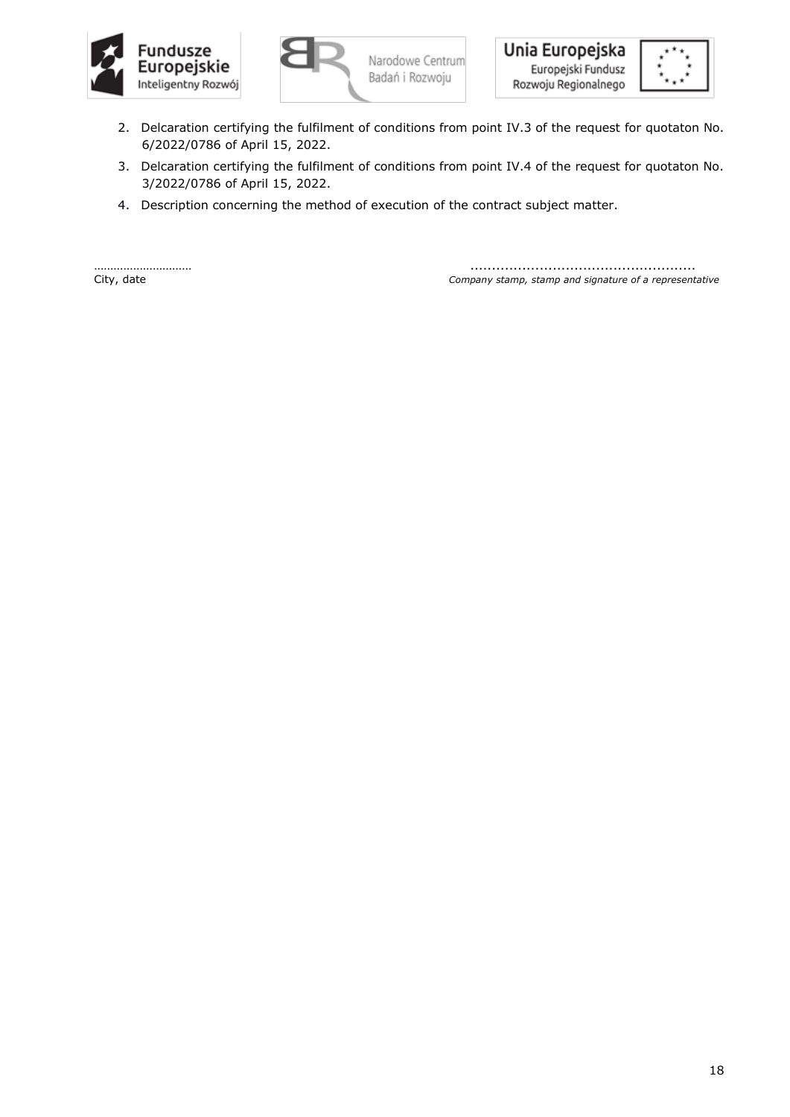







- 2. Delcaration certifying the fulfilment of conditions from point IV.3 of the request for quotaton No. 6/2022/0786 of April 15, 2022.
- 3. Delcaration certifying the fulfilment of conditions from point IV.4 of the request for quotaton No. 3/2022/0786 of April 15, 2022.
- 4. Description concerning the method of execution of the contract subject matter.

………………………… .................................................... City, date *Company stamp, stamp and signature of a representative*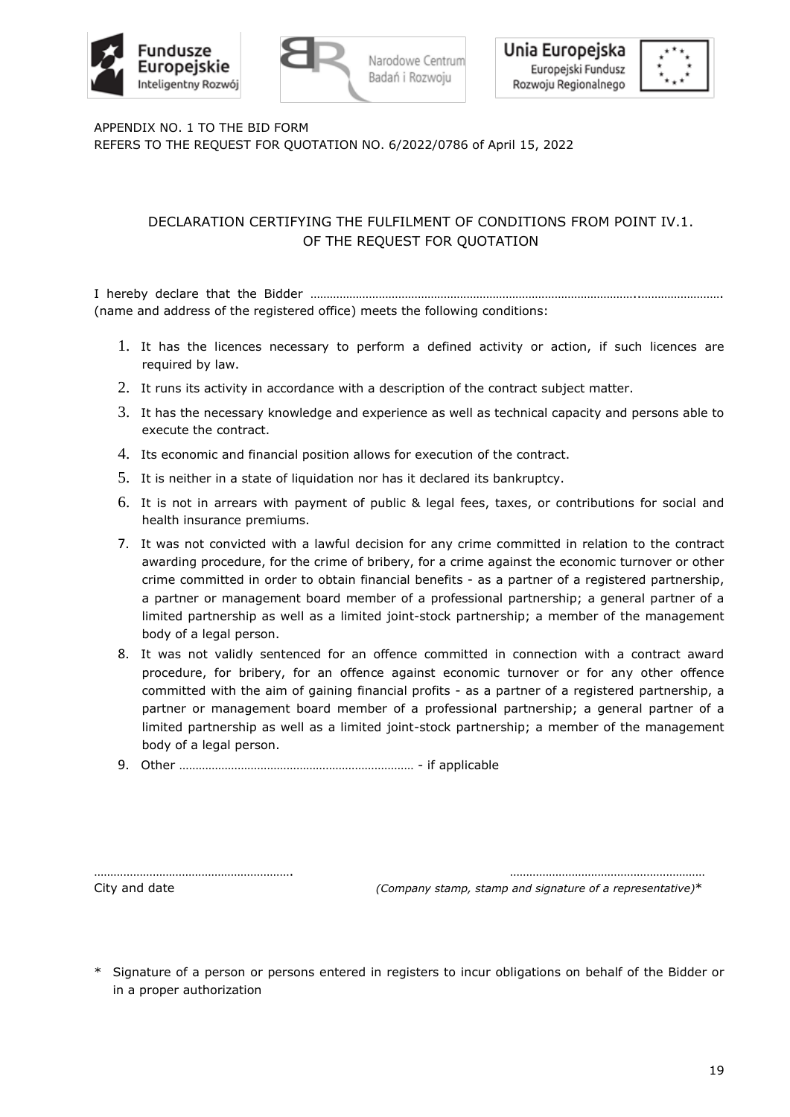



APPENDIX NO. 1 TO THE BID FORM REFERS TO THE REQUEST FOR QUOTATION NO. 6/2022/0786 of April 15, 2022

# DECLARATION CERTIFYING THE FULFILMENT OF CONDITIONS FROM POINT IV.1. OF THE REQUEST FOR QUOTATION

Narodowe Centrum

Badań i Rozwoju

I hereby declare that the Bidder ………………………………………………………………………………………..……………………. (name and address of the registered office) meets the following conditions:

- 1. It has the licences necessary to perform a defined activity or action, if such licences are required by law.
- 2. It runs its activity in accordance with a description of the contract subject matter.
- 3. It has the necessary knowledge and experience as well as technical capacity and persons able to execute the contract.
- 4. Its economic and financial position allows for execution of the contract.
- 5. It is neither in a state of liquidation nor has it declared its bankruptcy.
- 6. It is not in arrears with payment of public & legal fees, taxes, or contributions for social and health insurance premiums.
- 7. It was not convicted with a lawful decision for any crime committed in relation to the contract awarding procedure, for the crime of bribery, for a crime against the economic turnover or other crime committed in order to obtain financial benefits - as a partner of a registered partnership, a partner or management board member of a professional partnership; a general partner of a limited partnership as well as a limited joint-stock partnership; a member of the management body of a legal person.
- 8. It was not validly sentenced for an offence committed in connection with a contract award procedure, for bribery, for an offence against economic turnover or for any other offence committed with the aim of gaining financial profits - as a partner of a registered partnership, a partner or management board member of a professional partnership; a general partner of a limited partnership as well as a limited joint-stock partnership; a member of the management body of a legal person.
- 9. Other ……………………………………………………………… if applicable

……………………………………………………. ……………………………………………………

City and date *(Company stamp, stamp and signature of a representative)*\*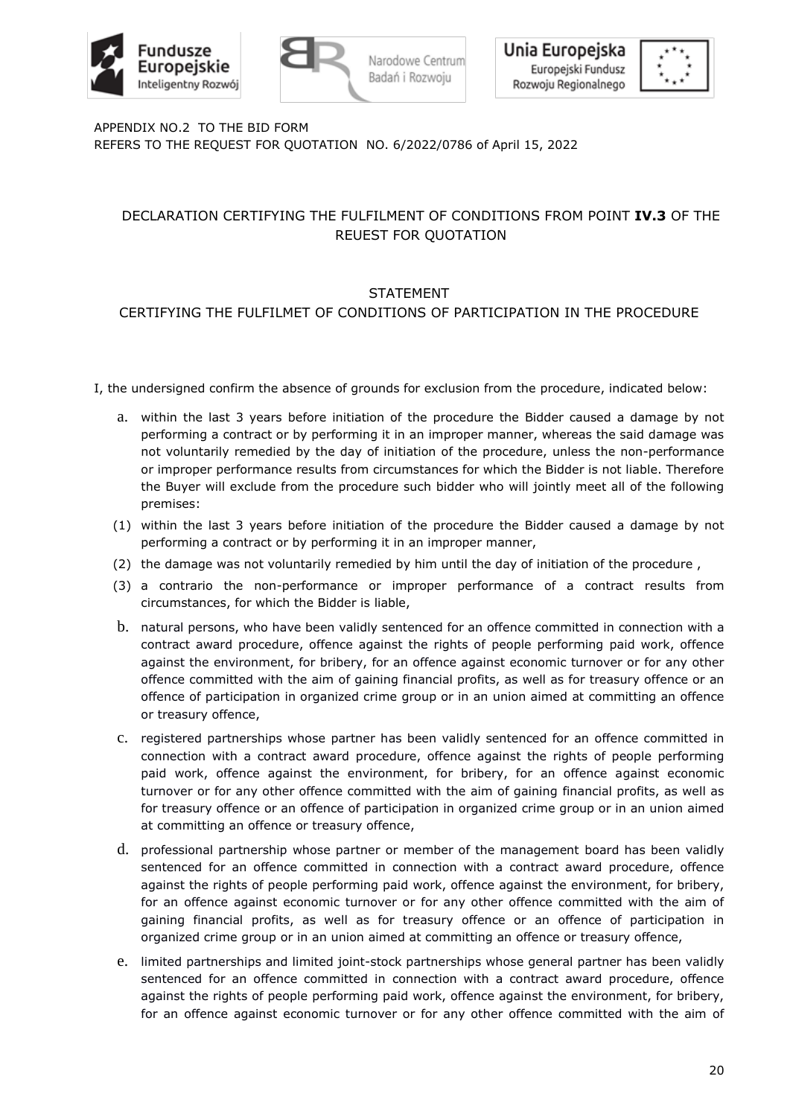





APPENDIX NO.2 TO THE BID FORM REFERS TO THE REQUEST FOR QUOTATION NO. 6/2022/0786 of April 15, 2022

# DECLARATION CERTIFYING THE FULFILMENT OF CONDITIONS FROM POINT **IV.3** OF THE REUEST FOR QUOTATION

# STATEMENT

# CERTIFYING THE FULFILMET OF CONDITIONS OF PARTICIPATION IN THE PROCEDURE

- I, the undersigned confirm the absence of grounds for exclusion from the procedure, indicated below:
	- a. within the last 3 years before initiation of the procedure the Bidder caused a damage by not performing a contract or by performing it in an improper manner, whereas the said damage was not voluntarily remedied by the day of initiation of the procedure, unless the non-performance or improper performance results from circumstances for which the Bidder is not liable. Therefore the Buyer will exclude from the procedure such bidder who will jointly meet all of the following premises:
	- (1) within the last 3 years before initiation of the procedure the Bidder caused a damage by not performing a contract or by performing it in an improper manner,
	- (2) the damage was not voluntarily remedied by him until the day of initiation of the procedure ,
	- (3) a contrario the non-performance or improper performance of a contract results from circumstances, for which the Bidder is liable,
	- b. natural persons, who have been validly sentenced for an offence committed in connection with a contract award procedure, offence against the rights of people performing paid work, offence against the environment, for bribery, for an offence against economic turnover or for any other offence committed with the aim of gaining financial profits, as well as for treasury offence or an offence of participation in organized crime group or in an union aimed at committing an offence or treasury offence,
	- c. registered partnerships whose partner has been validly sentenced for an offence committed in connection with a contract award procedure, offence against the rights of people performing paid work, offence against the environment, for bribery, for an offence against economic turnover or for any other offence committed with the aim of gaining financial profits, as well as for treasury offence or an offence of participation in organized crime group or in an union aimed at committing an offence or treasury offence,
	- d. professional partnership whose partner or member of the management board has been validly sentenced for an offence committed in connection with a contract award procedure, offence against the rights of people performing paid work, offence against the environment, for bribery, for an offence against economic turnover or for any other offence committed with the aim of gaining financial profits, as well as for treasury offence or an offence of participation in organized crime group or in an union aimed at committing an offence or treasury offence,
	- e. limited partnerships and limited joint-stock partnerships whose general partner has been validly sentenced for an offence committed in connection with a contract award procedure, offence against the rights of people performing paid work, offence against the environment, for bribery, for an offence against economic turnover or for any other offence committed with the aim of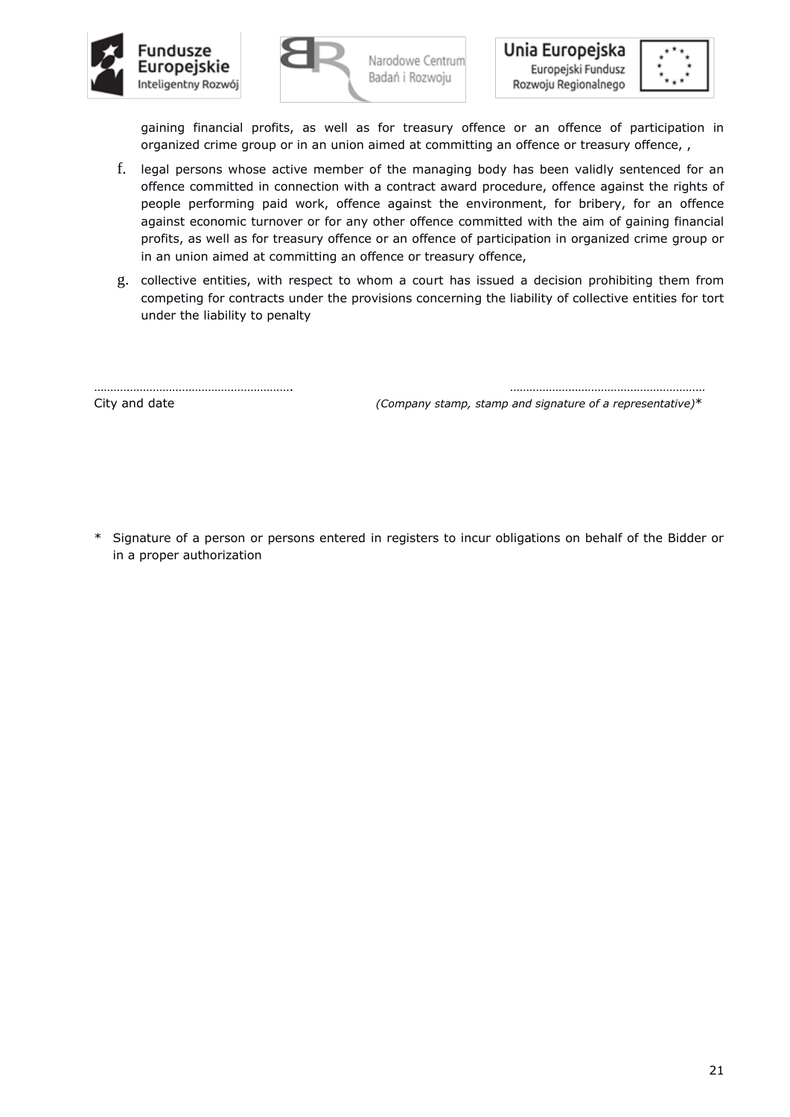



gaining financial profits, as well as for treasury offence or an offence of participation in organized crime group or in an union aimed at committing an offence or treasury offence, ,

- f. legal persons whose active member of the managing body has been validly sentenced for an offence committed in connection with a contract award procedure, offence against the rights of people performing paid work, offence against the environment, for bribery, for an offence against economic turnover or for any other offence committed with the aim of gaining financial profits, as well as for treasury offence or an offence of participation in organized crime group or in an union aimed at committing an offence or treasury offence,
- g. collective entities, with respect to whom a court has issued a decision prohibiting them from competing for contracts under the provisions concerning the liability of collective entities for tort under the liability to penalty

……………………………………………………. ……………………………………………………

City and date *(Company stamp, stamp and signature of a representative)*\*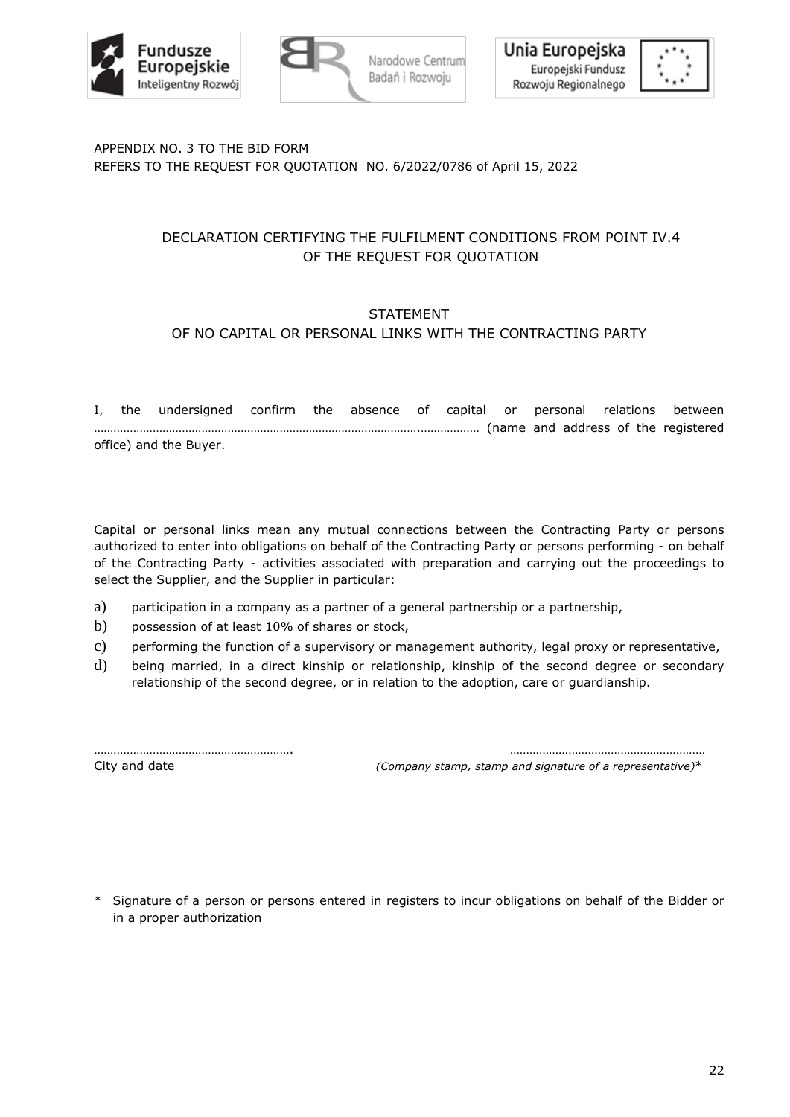



# APPENDIX NO. 3 TO THE BID FORM REFERS TO THE REQUEST FOR QUOTATION NO. 6/2022/0786 of April 15, 2022

# DECLARATION CERTIFYING THE FULFILMENT CONDITIONS FROM POINT IV.4 OF THE REQUEST FOR QUOTATION

# **STATEMENT**

# OF NO CAPITAL OR PERSONAL LINKS WITH THE CONTRACTING PARTY

I, the undersigned confirm the absence of capital or personal relations between ……………………………………………………………………………………….……………… (name and address of the registered office) and the Buyer.

Capital or personal links mean any mutual connections between the Contracting Party or persons authorized to enter into obligations on behalf of the Contracting Party or persons performing - on behalf of the Contracting Party - activities associated with preparation and carrying out the proceedings to select the Supplier, and the Supplier in particular:

- a) participation in a company as a partner of a general partnership or a partnership,
- b) possession of at least 10% of shares or stock,
- c) performing the function of a supervisory or management authority, legal proxy or representative,
- d) being married, in a direct kinship or relationship, kinship of the second degree or secondary relationship of the second degree, or in relation to the adoption, care or guardianship.

……………………………………………………. …………………………………………………… City and date *(Company stamp, stamp and signature of a representative)*\*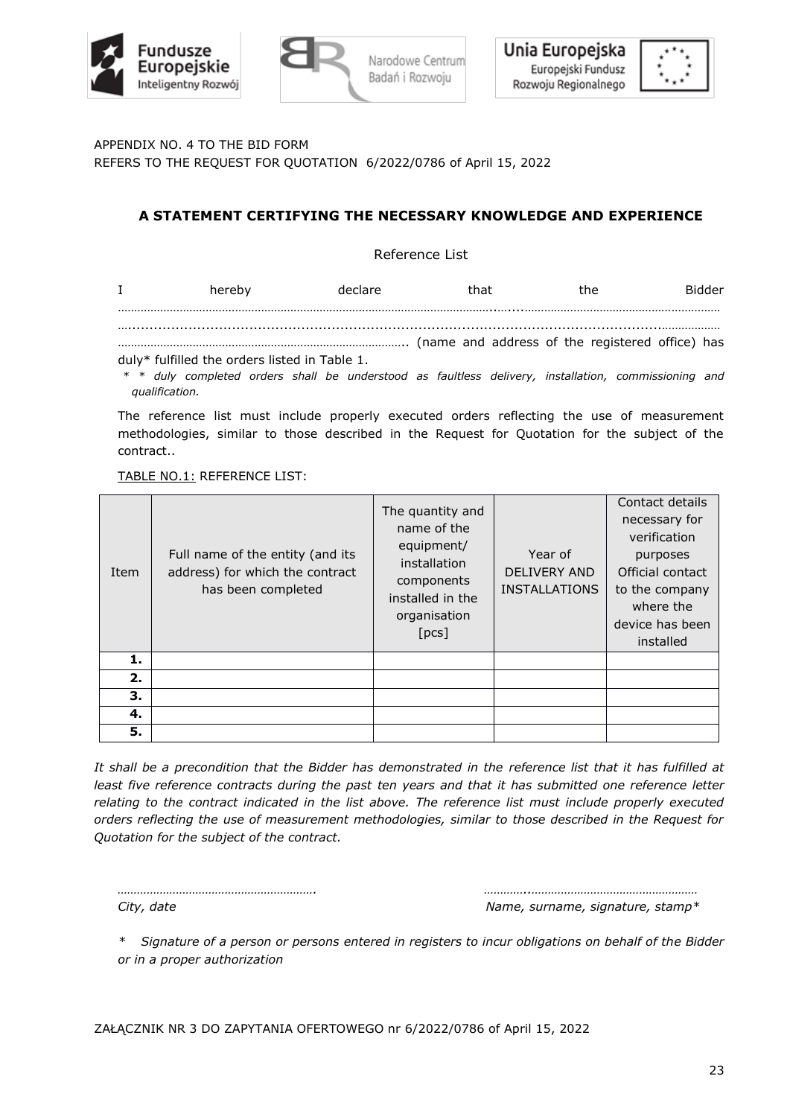



APPENDIX NO. 4 TO THE BID FORM

REFERS TO THE REQUEST FOR QUOTATION 6/2022/0786 of April 15, 2022

# **A STATEMENT CERTIFYING THE NECESSARY KNOWLEDGE AND EXPERIENCE**

Reference List

| $\mathbf{I}$ | hereby                                        | declare                                                                                        | that |  | the | Bidder |
|--------------|-----------------------------------------------|------------------------------------------------------------------------------------------------|------|--|-----|--------|
|              |                                               |                                                                                                |      |  |     |        |
|              |                                               | name and address of the registered office) has (name and address of the registered office) has |      |  |     |        |
|              | duly* fulfilled the orders listed in Table 1. |                                                                                                |      |  |     |        |

*\* \* duly completed orders shall be understood as faultless delivery, installation, commissioning and qualification.*

The reference list must include properly executed orders reflecting the use of measurement methodologies, similar to those described in the Request for Quotation for the subject of the contract..

TABLE NO.1: REFERENCE LIST:

| Item | Full name of the entity (and its<br>address) for which the contract<br>has been completed | The quantity and<br>name of the<br>equipment/<br>installation<br>components<br>installed in the<br>organisation<br>[pcs] | Year of<br><b>DELIVERY AND</b><br><b>INSTALLATIONS</b> | Contact details<br>necessary for<br>verification<br>purposes<br>Official contact<br>to the company<br>where the<br>device has been<br>installed |
|------|-------------------------------------------------------------------------------------------|--------------------------------------------------------------------------------------------------------------------------|--------------------------------------------------------|-------------------------------------------------------------------------------------------------------------------------------------------------|
| 1.   |                                                                                           |                                                                                                                          |                                                        |                                                                                                                                                 |
| 2.   |                                                                                           |                                                                                                                          |                                                        |                                                                                                                                                 |
| З.   |                                                                                           |                                                                                                                          |                                                        |                                                                                                                                                 |
| 4.   |                                                                                           |                                                                                                                          |                                                        |                                                                                                                                                 |
| 5.   |                                                                                           |                                                                                                                          |                                                        |                                                                                                                                                 |

*It shall be a precondition that the Bidder has demonstrated in the reference list that it has fulfilled at least five reference contracts during the past ten years and that it has submitted one reference letter relating to the contract indicated in the list above. The reference list must include properly executed orders reflecting the use of measurement methodologies, similar to those described in the Request for Quotation for the subject of the contract.*

*……………………………………………………. …………..……………………………………………* City, date Name, surname, signature, stamp<sup>\*</sup>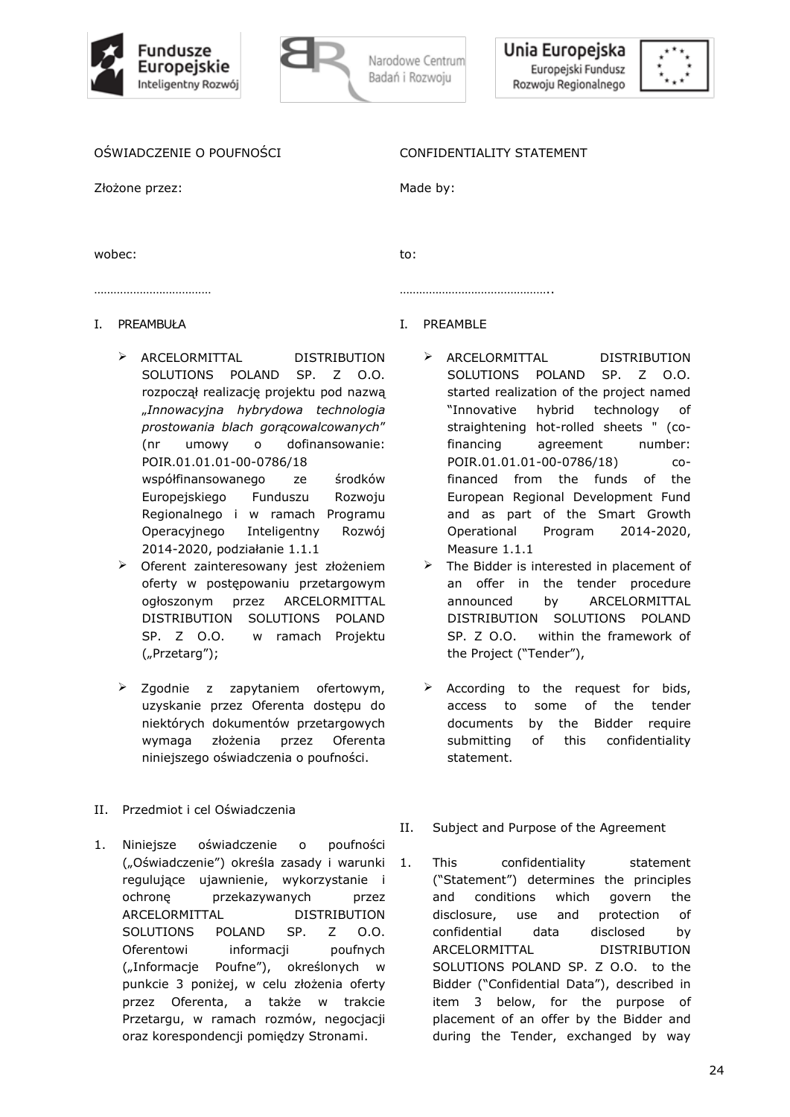



## OŚWIADCZENIE O POUFNOŚCI

Złożone przez:

#### CONFIDENTIALITY STATEMENT

Made by:

wobec:

to:

…………………………………

- I. PREAMBUŁA
	- ➢ ARCELORMITTAL DISTRIBUTION SOLUTIONS POLAND SP. Z O.O. rozpoczął realizację projektu pod nazwą "*Innowacyjna hybrydowa technologia prostowania blach gorącowalcowanych*" (nr umowy o dofinansowanie: POIR.01.01.01-00-0786/18 współfinansowanego ze środków Europejskiego Funduszu Rozwoju Regionalnego i w ramach Programu Operacyjnego Inteligentny Rozwój 2014-2020, podziałanie 1.1.1
	- ➢ Oferent zainteresowany jest złożeniem oferty w postępowaniu przetargowym ogłoszonym przez ARCELORMITTAL DISTRIBUTION SOLUTIONS POLAND SP. Z O.O. w ramach Projektu ("Przetarg");
	- ➢ Zgodnie z zapytaniem ofertowym, uzyskanie przez Oferenta dostępu do niektórych dokumentów przetargowych wymaga złożenia przez Oferenta niniejszego oświadczenia o poufności.
- II. Przedmiot i cel Oświadczenia
- 1. Niniejsze oświadczenie o poufności ("Oświadczenie") określa zasady i warunki regulujące ujawnienie, wykorzystanie i ochronę przekazywanych przez ARCELORMITTAL DISTRIBUTION SOLUTIONS POLAND SP. Z O.O. Oferentowi informacji poufnych ("Informacje Poufne"), określonych w punkcie 3 poniżej, w celu złożenia oferty przez Oferenta, a także w trakcie Przetargu, w ramach rozmów, negocjacji oraz korespondencji pomiędzy Stronami.

# I. PREAMBLE

………………………………………..

- ➢ ARCELORMITTAL DISTRIBUTION SOLUTIONS POLAND SP. Z O.O. started realization of the project named "Innovative hybrid technology of straightening hot-rolled sheets " (cofinancing agreement number: POIR.01.01.01-00-0786/18) cofinanced from the funds of the European Regional Development Fund and as part of the Smart Growth Operational Program 2014-2020, Measure 1.1.1
- $\triangleright$  The Bidder is interested in placement of an offer in the tender procedure announced by ARCELORMITTAL DISTRIBUTION SOLUTIONS POLAND SP. Z O.O. within the framework of the Project ("Tender"),
- $\triangleright$  According to the request for bids, access to some of the tender documents by the Bidder require submitting of this confidentiality statement.
- II. Subject and Purpose of the Agreement
- 1. This confidentiality statement ("Statement") determines the principles and conditions which govern the disclosure, use and protection of confidential data disclosed by ARCELORMITTAL DISTRIBUTION SOLUTIONS POLAND SP. Z O.O. to the Bidder ("Confidential Data"), described in item 3 below, for the purpose of placement of an offer by the Bidder and during the Tender, exchanged by way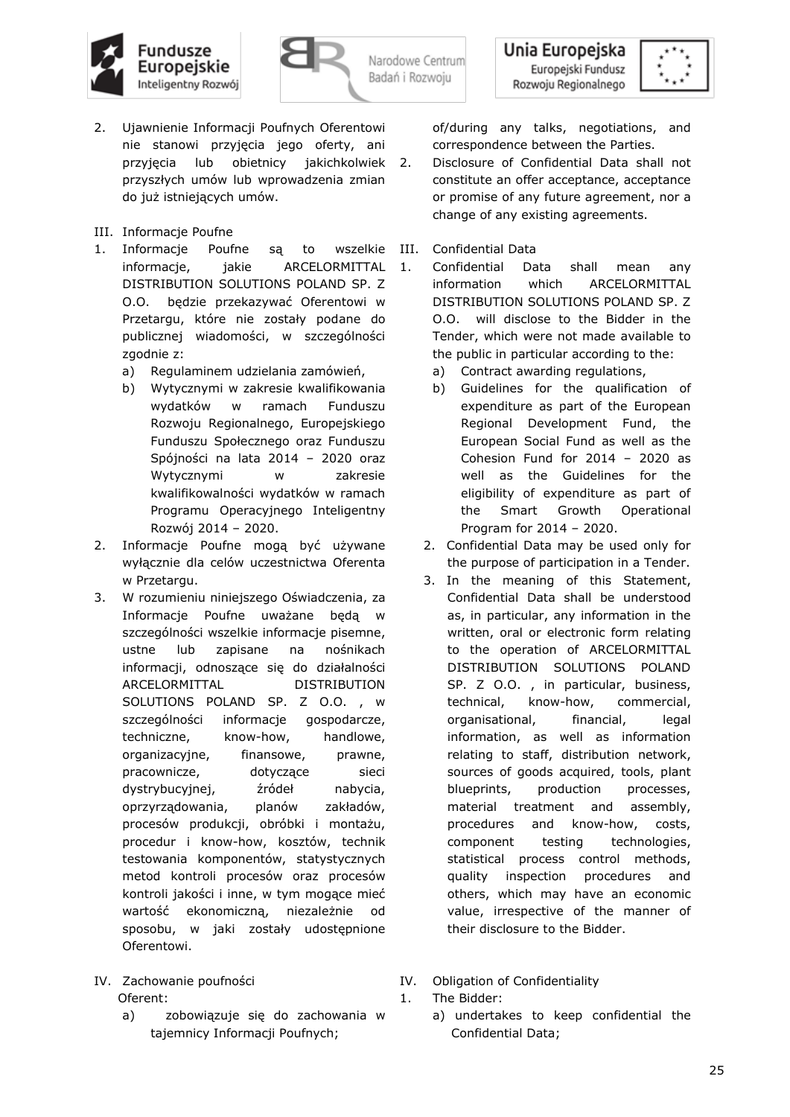





- 2. Ujawnienie Informacji Poufnych Oferentowi nie stanowi przyjęcia jego oferty, ani przyjęcia lub obietnicy jakichkolwiek przyszłych umów lub wprowadzenia zmian do już istniejących umów.
- III. Informacje Poufne
- 1. Informacje Poufne są to wszelkie informacje, jakie ARCELORMITTAL DISTRIBUTION SOLUTIONS POLAND SP. Z O.O. będzie przekazywać Oferentowi w Przetargu, które nie zostały podane do publicznej wiadomości, w szczególności zgodnie z:
	- a) Regulaminem udzielania zamówień,
	- b) Wytycznymi w zakresie kwalifikowania wydatków w ramach Funduszu Rozwoju Regionalnego, Europejskiego Funduszu Społecznego oraz Funduszu Spójności na lata 2014 – 2020 oraz Wytycznymi w zakresie kwalifikowalności wydatków w ramach Programu Operacyjnego Inteligentny Rozwój 2014 – 2020.
- 2. Informacje Poufne mogą być używane wyłącznie dla celów uczestnictwa Oferenta w Przetargu.
- 3. W rozumieniu niniejszego Oświadczenia, za Informacje Poufne uważane będą w szczególności wszelkie informacje pisemne, ustne lub zapisane na nośnikach informacji, odnoszące się do działalności ARCELORMITTAL DISTRIBUTION SOLUTIONS POLAND SP. Z O.O. , w szczególności informacje gospodarcze, techniczne, know-how, handlowe, organizacyjne, finansowe, prawne, pracownicze, dotyczące sieci dystrybucyjnej, źródeł nabycia, oprzyrządowania, planów zakładów, procesów produkcji, obróbki i montażu, procedur i know-how, kosztów, technik testowania komponentów, statystycznych metod kontroli procesów oraz procesów kontroli jakości i inne, w tym mogące mieć wartość ekonomiczną, niezależnie od sposobu, w jaki zostały udostępnione Oferentowi.

## IV. Zachowanie poufności Oferent:

a) zobowiązuje się do zachowania w tajemnicy Informacji Poufnych;

of/during any talks, negotiations, and correspondence between the Parties.

- 2. Disclosure of Confidential Data shall not constitute an offer acceptance, acceptance or promise of any future agreement, nor a change of any existing agreements.
- III. Confidential Data
- 1. Confidential Data shall mean any information which ARCELORMITTAL DISTRIBUTION SOLUTIONS POLAND SP. Z O.O. will disclose to the Bidder in the Tender, which were not made available to the public in particular according to the:
	- a) Contract awarding regulations,
	- b) Guidelines for the qualification of expenditure as part of the European Regional Development Fund, the European Social Fund as well as the Cohesion Fund for 2014 – 2020 as well as the Guidelines for the eligibility of expenditure as part of the Smart Growth Operational Program for 2014 – 2020.
	- 2. Confidential Data may be used only for the purpose of participation in a Tender.
	- 3. In the meaning of this Statement, Confidential Data shall be understood as, in particular, any information in the written, oral or electronic form relating to the operation of ARCELORMITTAL DISTRIBUTION SOLUTIONS POLAND SP. Z O.O., in particular, business, technical, know-how, commercial, organisational, financial, legal information, as well as information relating to staff, distribution network, sources of goods acquired, tools, plant blueprints, production processes, material treatment and assembly, procedures and know-how, costs, component testing technologies, statistical process control methods, quality inspection procedures and others, which may have an economic value, irrespective of the manner of their disclosure to the Bidder.
- IV. Obligation of Confidentiality 1. The Bidder:
	- a) undertakes to keep confidential the Confidential Data;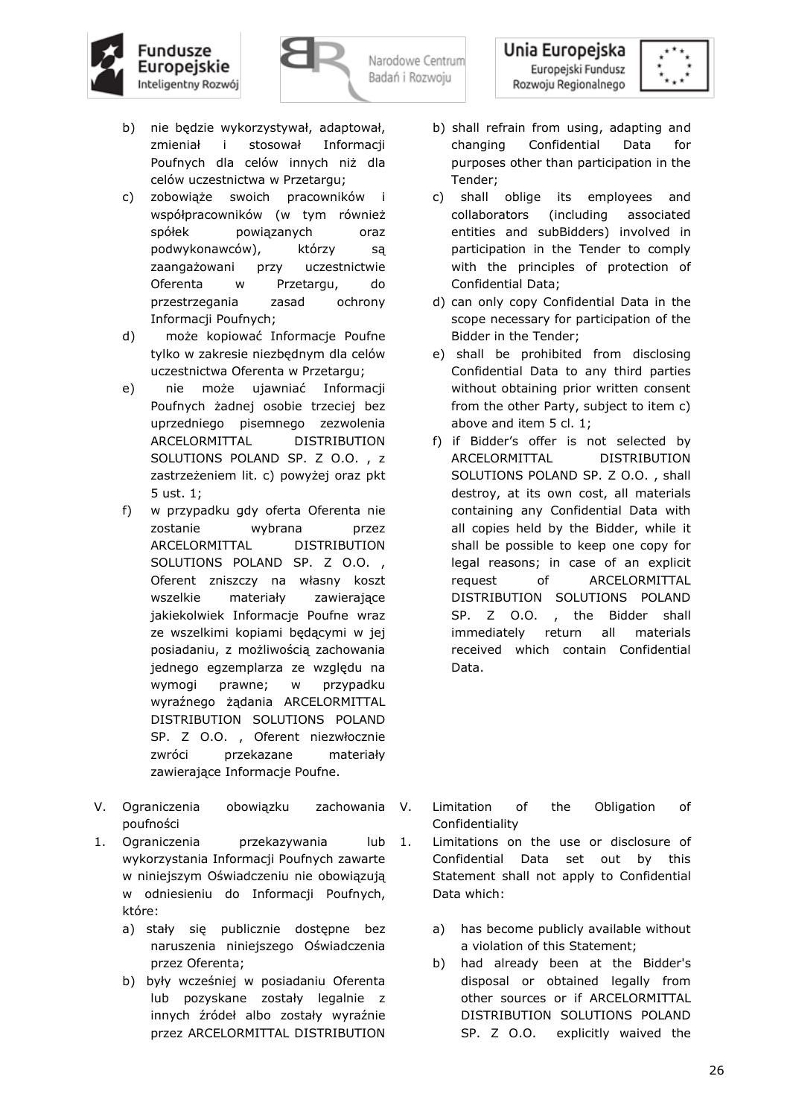

Unia Europejska Europejski Fundusz Rozwoju Regionalnego



- b) nie będzie wykorzystywał, adaptował, zmieniał i stosował Informacji Poufnych dla celów innych niż dla celów uczestnictwa w Przetargu;
- c) zobowiąże swoich pracowników i współpracowników (w tym również spółek powiązanych oraz podwykonawców), którzy są zaangażowani przy uczestnictwie Oferenta w Przetargu, do przestrzegania zasad ochrony Informacji Poufnych;
- d) może kopiować Informacje Poufne tylko w zakresie niezbędnym dla celów uczestnictwa Oferenta w Przetargu;
- e) nie może ujawniać Informacji Poufnych żadnej osobie trzeciej bez uprzedniego pisemnego zezwolenia ARCELORMITTAL DISTRIBUTION SOLUTIONS POLAND SP. Z O.O. , z zastrzeżeniem lit. c) powyżej oraz pkt 5 ust. 1;
- f) w przypadku gdy oferta Oferenta nie zostanie wybrana przez ARCELORMITTAL DISTRIBUTION SOLUTIONS POLAND SP. Z O.O., Oferent zniszczy na własny koszt wszelkie materiały zawierające jakiekolwiek Informacje Poufne wraz ze wszelkimi kopiami będącymi w jej posiadaniu, z możliwością zachowania jednego egzemplarza ze względu na wymogi prawne; w przypadku wyraźnego żądania ARCELORMITTAL DISTRIBUTION SOLUTIONS POLAND SP. Z O.O. , Oferent niezwłocznie zwróci przekazane materiały zawierające Informacje Poufne.
- V. Ograniczenia obowiązku zachowania V. poufności
- 1. Ograniczenia przekazywania lub 1. wykorzystania Informacji Poufnych zawarte w niniejszym Oświadczeniu nie obowiązują w odniesieniu do Informacji Poufnych, które:
	- a) stały się publicznie dostępne bez naruszenia niniejszego Oświadczenia przez Oferenta;
	- b) były wcześniej w posiadaniu Oferenta lub pozyskane zostały legalnie z innych źródeł albo zostały wyraźnie przez ARCELORMITTAL DISTRIBUTION
- b) shall refrain from using, adapting and changing Confidential Data for purposes other than participation in the Tender;
- c) shall oblige its employees and collaborators (including associated entities and subBidders) involved in participation in the Tender to comply with the principles of protection of Confidential Data;
- d) can only copy Confidential Data in the scope necessary for participation of the Bidder in the Tender;
- e) shall be prohibited from disclosing Confidential Data to any third parties without obtaining prior written consent from the other Party, subject to item c) above and item 5 cl. 1;
- f) if Bidder's offer is not selected by ARCELORMITTAL DISTRIBUTION SOLUTIONS POLAND SP. Z O.O. , shall destroy, at its own cost, all materials containing any Confidential Data with all copies held by the Bidder, while it shall be possible to keep one copy for legal reasons; in case of an explicit request of ARCELORMITTAL DISTRIBUTION SOLUTIONS POLAND SP. Z O.O., the Bidder shall immediately return all materials received which contain Confidential Data.

- Limitation of the Obligation of Confidentiality
- Limitations on the use or disclosure of Confidential Data set out by this Statement shall not apply to Confidential Data which:
	- a) has become publicly available without a violation of this Statement;
	- b) had already been at the Bidder's disposal or obtained legally from other sources or if ARCELORMITTAL DISTRIBUTION SOLUTIONS POLAND SP. Z O.O. explicitly waived the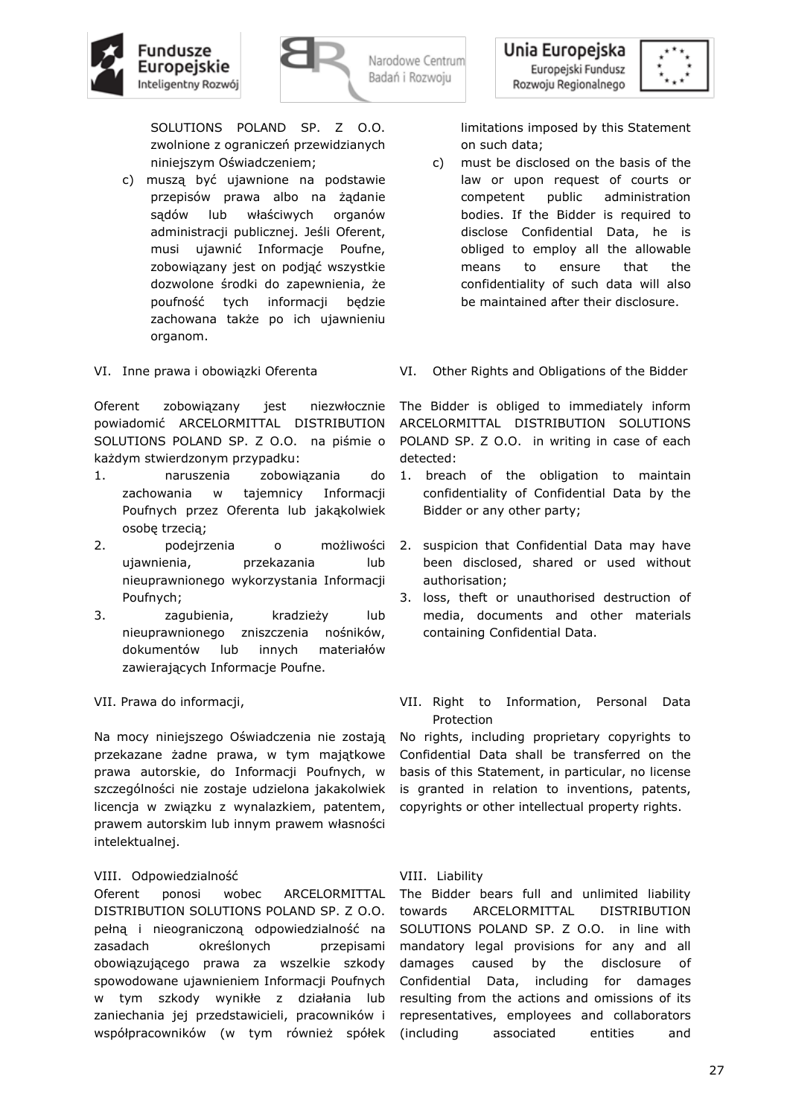



SOLUTIONS POLAND SP. Z O.O. zwolnione z ograniczeń przewidzianych niniejszym Oświadczeniem;

- c) muszą być ujawnione na podstawie przepisów prawa albo na żądanie sądów lub właściwych organów administracji publicznej. Jeśli Oferent, musi ujawnić Informacje Poufne, zobowiązany jest on podjąć wszystkie dozwolone środki do zapewnienia, że poufność tych informacji będzie zachowana także po ich ujawnieniu organom.
- VI. Inne prawa i obowiązki Oferenta

Oferent zobowiązany jest niezwłocznie powiadomić ARCELORMITTAL DISTRIBUTION SOLUTIONS POLAND SP. Z O.O. na piśmie o każdym stwierdzonym przypadku:

- 1. naruszenia zobowiązania do zachowania w tajemnicy Informacji Poufnych przez Oferenta lub jakąkolwiek osobę trzecią;
- 2. podejrzenia o możliwości ujawnienia, przekazania lub nieuprawnionego wykorzystania Informacji Poufnych;
- 3. zagubienia, kradzieży lub nieuprawnionego zniszczenia nośników, dokumentów lub innych materiałów zawierających Informacje Poufne.
- VII. Prawa do informacji,

Na mocy niniejszego Oświadczenia nie zostają przekazane żadne prawa, w tym majątkowe prawa autorskie, do Informacji Poufnych, w szczególności nie zostaje udzielona jakakolwiek licencja w związku z wynalazkiem, patentem, prawem autorskim lub innym prawem własności intelektualnej.

## VIII. Odpowiedzialność

Oferent ponosi wobec ARCELORMITTAL DISTRIBUTION SOLUTIONS POLAND SP. Z O.O. pełną i nieograniczoną odpowiedzialność na zasadach określonych przepisami obowiązującego prawa za wszelkie szkody spowodowane ujawnieniem Informacji Poufnych w tym szkody wynikłe z działania lub zaniechania jej przedstawicieli, pracowników i współpracowników (w tym również spółek

limitations imposed by this Statement on such data;

- c) must be disclosed on the basis of the law or upon request of courts or competent public administration bodies. If the Bidder is required to disclose Confidential Data, he is obliged to employ all the allowable means to ensure that the confidentiality of such data will also be maintained after their disclosure.
- VI. Other Rights and Obligations of the Bidder

The Bidder is obliged to immediately inform ARCELORMITTAL DISTRIBUTION SOLUTIONS POLAND SP. Z O.O. in writing in case of each detected:

- 1. breach of the obligation to maintain confidentiality of Confidential Data by the Bidder or any other party;
- 2. suspicion that Confidential Data may have been disclosed, shared or used without authorisation;
- 3. loss, theft or unauthorised destruction of media, documents and other materials containing Confidential Data.
- VII. Right to Information, Personal Data Protection

No rights, including proprietary copyrights to Confidential Data shall be transferred on the basis of this Statement, in particular, no license is granted in relation to inventions, patents, copyrights or other intellectual property rights.

## VIII. Liability

The Bidder bears full and unlimited liability towards ARCELORMITTAL DISTRIBUTION SOLUTIONS POLAND SP. Z O.O. in line with mandatory legal provisions for any and all damages caused by the disclosure of Confidential Data, including for damages resulting from the actions and omissions of its representatives, employees and collaborators associated entities and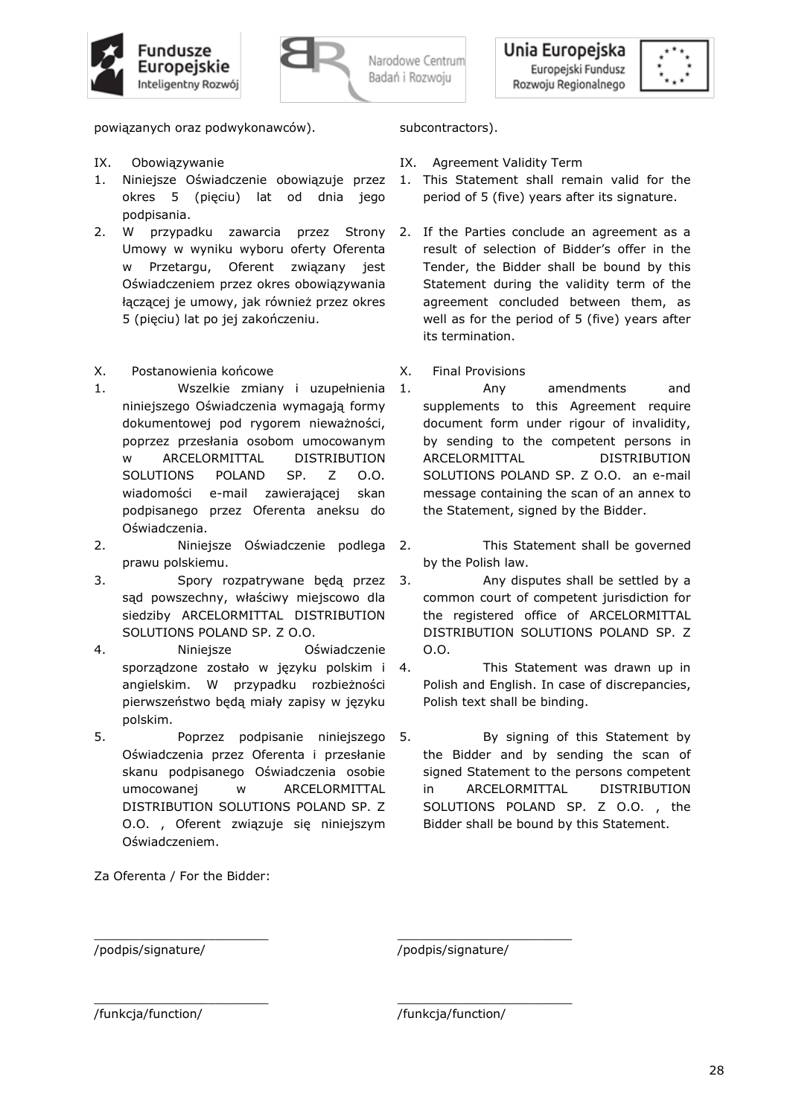





powiązanych oraz podwykonawców).

- IX. Obowiązywanie
- 1. Niniejsze Oświadczenie obowiązuje przez okres 5 (pięciu) lat od dnia jego podpisania.
- 2. W przypadku zawarcia przez Strony Umowy w wyniku wyboru oferty Oferenta w Przetargu, Oferent związany jest Oświadczeniem przez okres obowiązywania łączącej je umowy, jak również przez okres 5 (pięciu) lat po jej zakończeniu.
- X. Postanowienia końcowe
- 1. Wszelkie zmiany i uzupełnienia niniejszego Oświadczenia wymagają formy dokumentowej pod rygorem nieważności, poprzez przesłania osobom umocowanym w ARCELORMITTAL DISTRIBUTION SOLUTIONS POLAND SP. Z O.O. wiadomości e-mail zawierającej skan podpisanego przez Oferenta aneksu do Oświadczenia.
- 2. Niniejsze Oświadczenie podlega 2. prawu polskiemu.
- 3. Spory rozpatrywane będą przez sąd powszechny, właściwy miejscowo dla siedziby ARCELORMITTAL DISTRIBUTION SOLUTIONS POLAND SP. Z O.O.
- 4. Niniejsze Oświadczenie sporządzone zostało w języku polskim i angielskim. W przypadku rozbieżności pierwszeństwo będą miały zapisy w języku polskim.
- 5. Poprzez podpisanie niniejszego Oświadczenia przez Oferenta i przesłanie skanu podpisanego Oświadczenia osobie umocowanej w ARCELORMITTAL DISTRIBUTION SOLUTIONS POLAND SP. Z O.O. , Oferent związuje się niniejszym Oświadczeniem.

Za Oferenta / For the Bidder:

\_\_\_\_\_\_\_\_\_\_\_\_\_\_\_\_\_\_\_\_\_\_\_

\_\_\_\_\_\_\_\_\_\_\_\_\_\_\_\_\_\_\_\_\_\_\_

# subcontractors).

- IX. Agreement Validity Term
- 1. This Statement shall remain valid for the period of 5 (five) years after its signature.
- 2. If the Parties conclude an agreement as a result of selection of Bidder's offer in the Tender, the Bidder shall be bound by this Statement during the validity term of the agreement concluded between them, as well as for the period of 5 (five) years after its termination.
- X. Final Provisions
- 1. Any amendments and supplements to this Agreement require document form under rigour of invalidity, by sending to the competent persons in ARCELORMITTAL DISTRIBUTION SOLUTIONS POLAND SP. Z O.O. an e-mail message containing the scan of an annex to the Statement, signed by the Bidder.
	- This Statement shall be governed by the Polish law.
- 3. Any disputes shall be settled by a common court of competent jurisdiction for the registered office of ARCELORMITTAL DISTRIBUTION SOLUTIONS POLAND SP. Z O.O.
- This Statement was drawn up in Polish and English. In case of discrepancies, Polish text shall be binding.
- By signing of this Statement by the Bidder and by sending the scan of signed Statement to the persons competent in ARCELORMITTAL DISTRIBUTION SOLUTIONS POLAND SP. Z O.O. , the Bidder shall be bound by this Statement.

/podpis/signature/

/podpis/signature/

\_\_\_\_\_\_\_\_\_\_\_\_\_\_\_\_\_\_\_\_\_\_\_

\_\_\_\_\_\_\_\_\_\_\_\_\_\_\_\_\_\_\_\_\_\_\_

/funkcja/function/

/funkcja/function/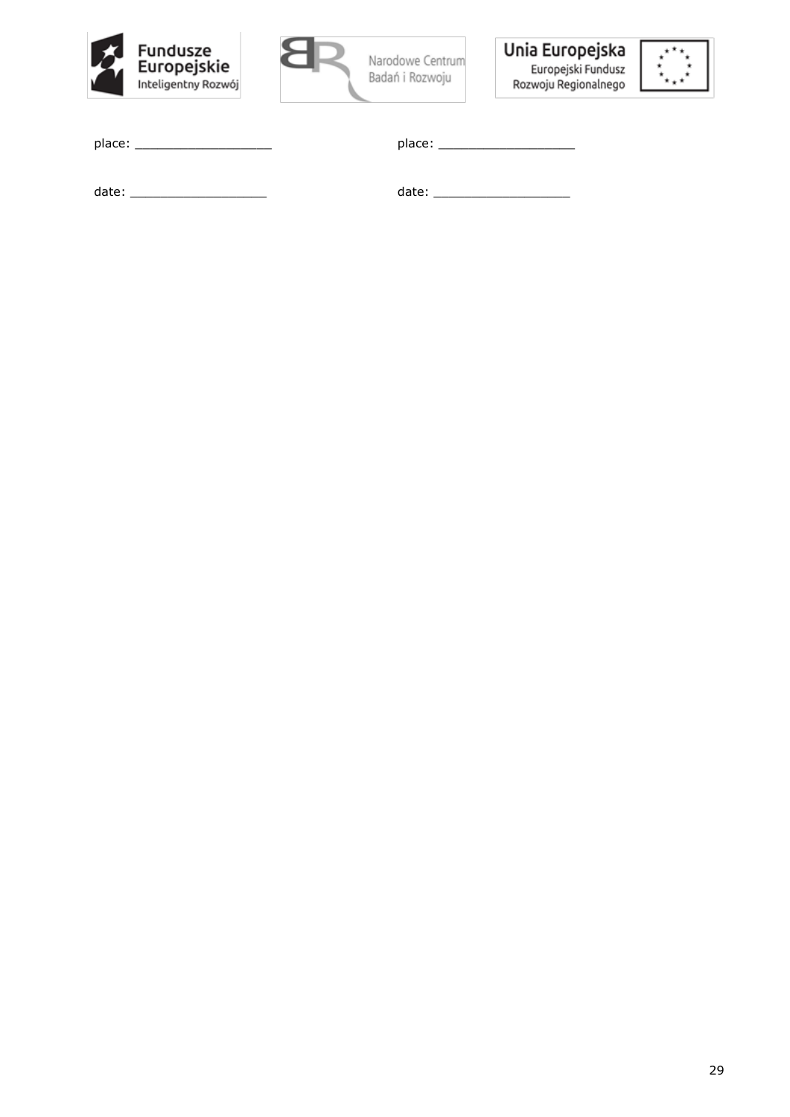







| place: |  |  |  |
|--------|--|--|--|
|        |  |  |  |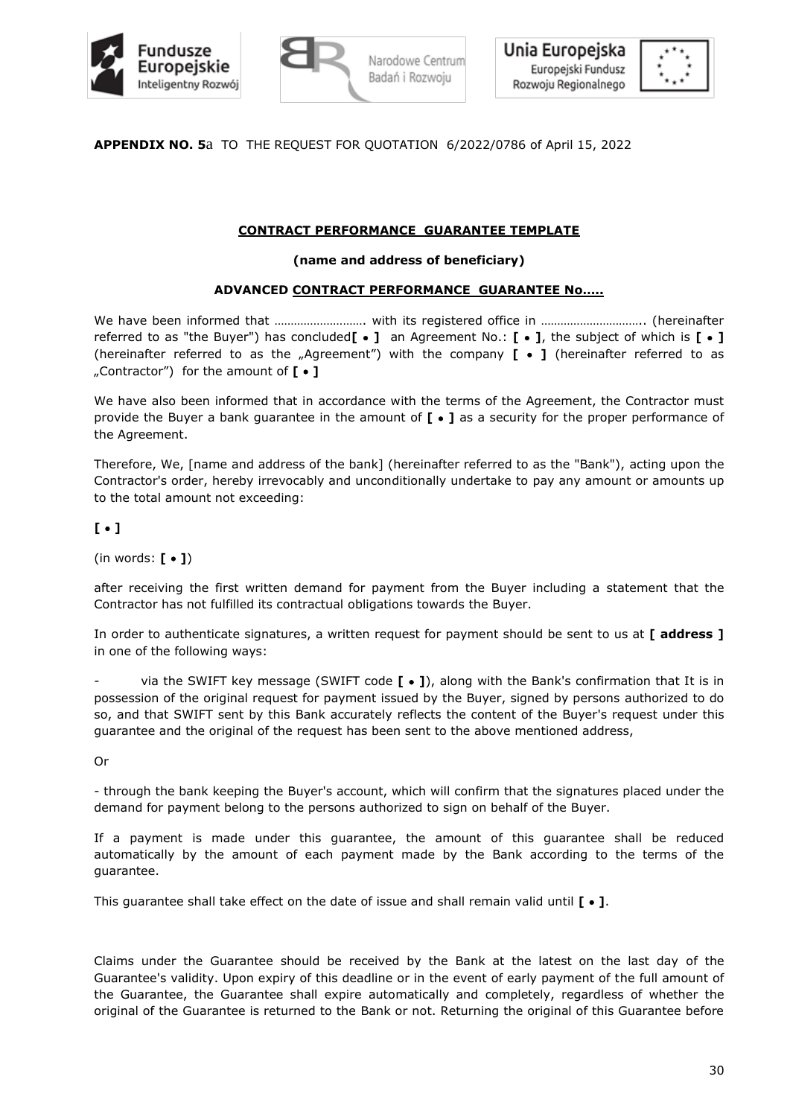



**APPENDIX NO. 5**a TO THE REQUEST FOR QUOTATION 6/2022/0786 of April 15, 2022

# **CONTRACT PERFORMANCE GUARANTEE TEMPLATE**

## **(name and address of beneficiary)**

## **ADVANCED CONTRACT PERFORMANCE GUARANTEE No…..**

We have been informed that …………………………… with its registered office in …………………………… (hereinafter referred to as "the Buyer") has concluded**[** • **]** an Agreement No.: **[** • **]**, the subject of which is **[** • **]** (hereinafter referred to as the "Agreement") with the company **[** • **]** (hereinafter referred to as "Contractor") for the amount of **[** • **]**

We have also been informed that in accordance with the terms of the Agreement, the Contractor must provide the Buyer a bank guarantee in the amount of **[** • **]** as a security for the proper performance of the Agreement.

Therefore, We, [name and address of the bank] (hereinafter referred to as the "Bank"), acting upon the Contractor's order, hereby irrevocably and unconditionally undertake to pay any amount or amounts up to the total amount not exceeding:

**[** • **]** 

(in words: **[** • **]**)

after receiving the first written demand for payment from the Buyer including a statement that the Contractor has not fulfilled its contractual obligations towards the Buyer.

In order to authenticate signatures, a written request for payment should be sent to us at **[ address ]** in one of the following ways:

- via the SWIFT key message (SWIFT code **[** • **]**), along with the Bank's confirmation that It is in possession of the original request for payment issued by the Buyer, signed by persons authorized to do so, and that SWIFT sent by this Bank accurately reflects the content of the Buyer's request under this guarantee and the original of the request has been sent to the above mentioned address,

Or

- through the bank keeping the Buyer's account, which will confirm that the signatures placed under the demand for payment belong to the persons authorized to sign on behalf of the Buyer.

If a payment is made under this guarantee, the amount of this guarantee shall be reduced automatically by the amount of each payment made by the Bank according to the terms of the guarantee.

This guarantee shall take effect on the date of issue and shall remain valid until **[** • **]**.

Claims under the Guarantee should be received by the Bank at the latest on the last day of the Guarantee's validity. Upon expiry of this deadline or in the event of early payment of the full amount of the Guarantee, the Guarantee shall expire automatically and completely, regardless of whether the original of the Guarantee is returned to the Bank or not. Returning the original of this Guarantee before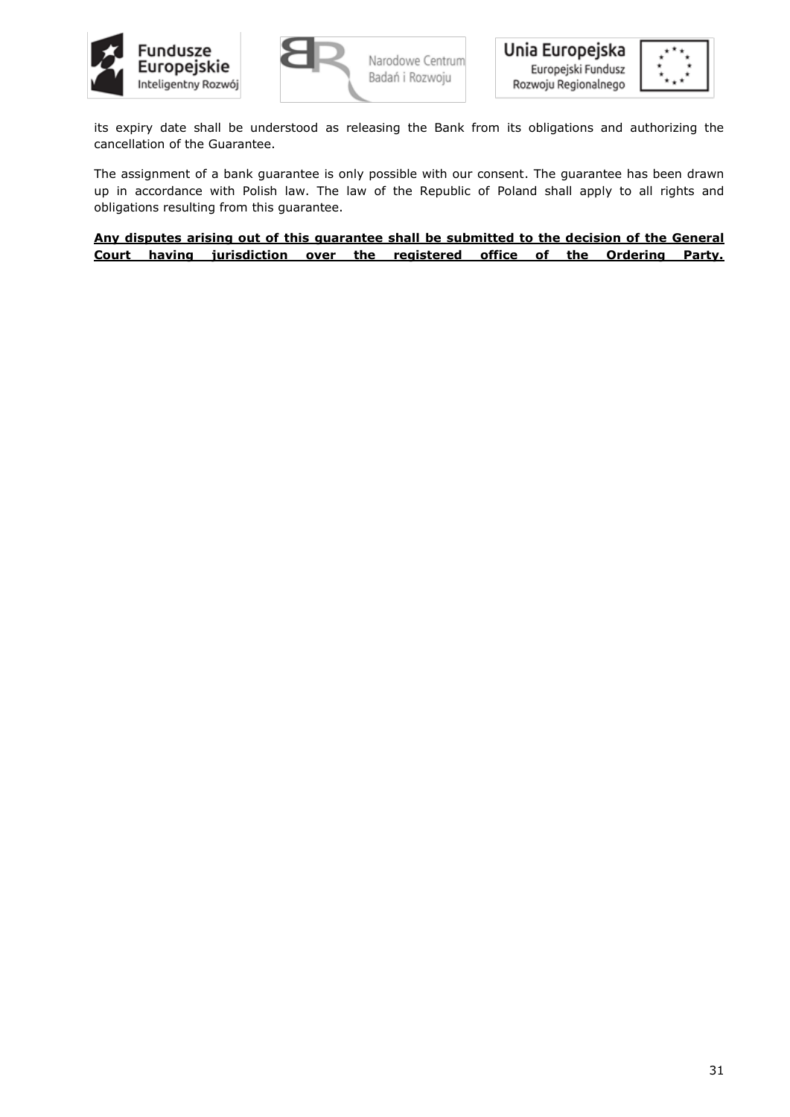



its expiry date shall be understood as releasing the Bank from its obligations and authorizing the cancellation of the Guarantee.

The assignment of a bank guarantee is only possible with our consent. The guarantee has been drawn up in accordance with Polish law. The law of the Republic of Poland shall apply to all rights and obligations resulting from this guarantee.

**Any disputes arising out of this guarantee shall be submitted to the decision of the General Court having jurisdiction over the registered office of the Ordering Party.**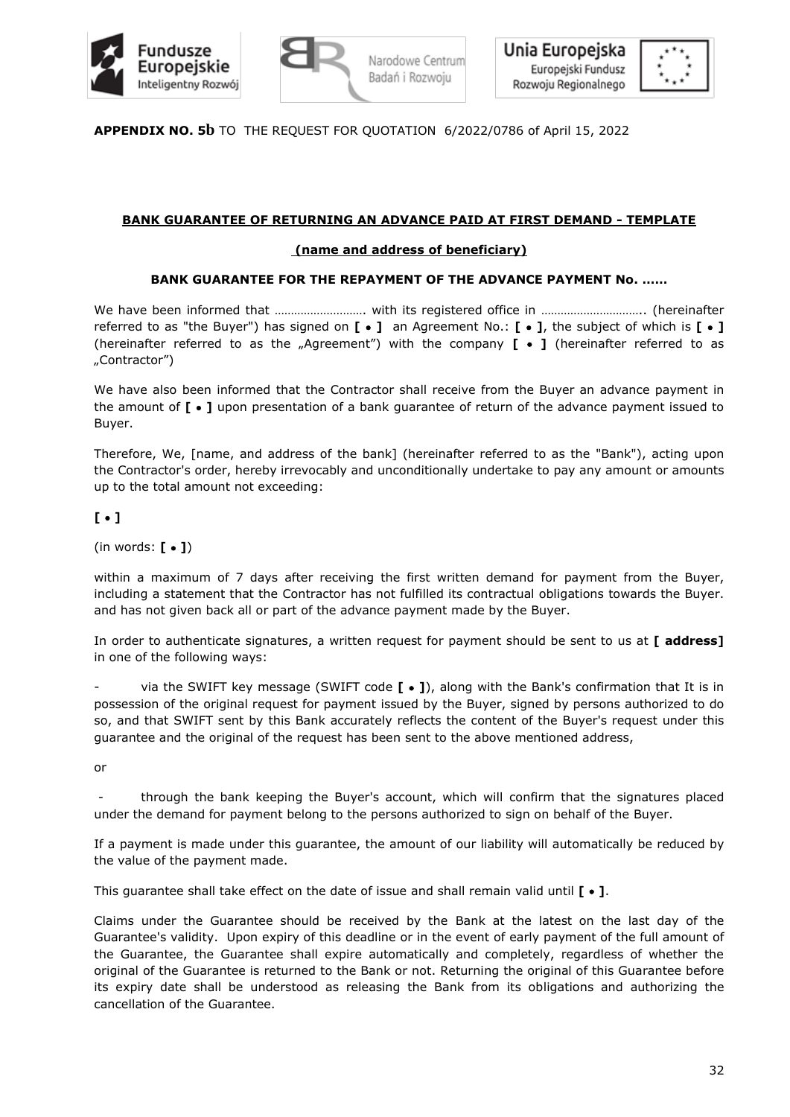



**APPENDIX NO. 5b** TO THE REQUEST FOR QUOTATION 6/2022/0786 of April 15, 2022

# **BANK GUARANTEE OF RETURNING AN ADVANCE PAID AT FIRST DEMAND - TEMPLATE**

# **(name and address of beneficiary)**

# **BANK GUARANTEE FOR THE REPAYMENT OF THE ADVANCE PAYMENT No. ……**

We have been informed that ………………………. with its registered office in ………………………….. (hereinafter referred to as "the Buyer") has signed on **[** • **]** an Agreement No.: **[** • **]**, the subject of which is **[** • **]** (hereinafter referred to as the "Agreement") with the company **[** • **]** (hereinafter referred to as "Contractor")

We have also been informed that the Contractor shall receive from the Buyer an advance payment in the amount of **[** • **]** upon presentation of a bank guarantee of return of the advance payment issued to Buyer.

Therefore, We, [name, and address of the bank] (hereinafter referred to as the "Bank"), acting upon the Contractor's order, hereby irrevocably and unconditionally undertake to pay any amount or amounts up to the total amount not exceeding:

# **[** • **]**

(in words: **[** • **]**)

within a maximum of 7 days after receiving the first written demand for payment from the Buyer, including a statement that the Contractor has not fulfilled its contractual obligations towards the Buyer. and has not given back all or part of the advance payment made by the Buyer.

In order to authenticate signatures, a written request for payment should be sent to us at **[ address]** in one of the following ways:

via the SWIFT key message (SWIFT code  $[ \cdot ]$ ), along with the Bank's confirmation that It is in possession of the original request for payment issued by the Buyer, signed by persons authorized to do so, and that SWIFT sent by this Bank accurately reflects the content of the Buyer's request under this guarantee and the original of the request has been sent to the above mentioned address,

or

- through the bank keeping the Buyer's account, which will confirm that the signatures placed under the demand for payment belong to the persons authorized to sign on behalf of the Buyer.

If a payment is made under this guarantee, the amount of our liability will automatically be reduced by the value of the payment made.

This guarantee shall take effect on the date of issue and shall remain valid until **[** • **]**.

Claims under the Guarantee should be received by the Bank at the latest on the last day of the Guarantee's validity. Upon expiry of this deadline or in the event of early payment of the full amount of the Guarantee, the Guarantee shall expire automatically and completely, regardless of whether the original of the Guarantee is returned to the Bank or not. Returning the original of this Guarantee before its expiry date shall be understood as releasing the Bank from its obligations and authorizing the cancellation of the Guarantee.